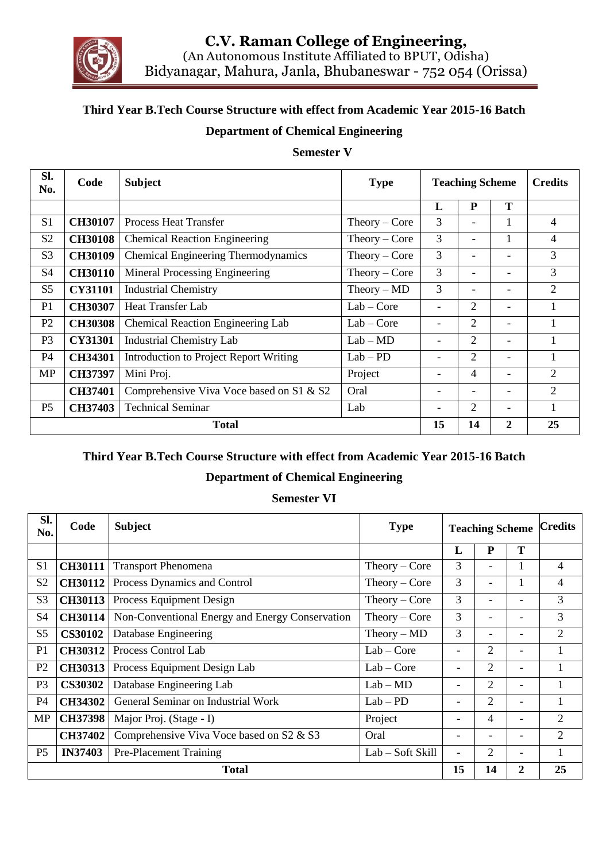

# **Third Year B.Tech Course Structure with effect from Academic Year 2015-16 Batch**

## **Department of Chemical Engineering**

#### **Semester V**

| Sl.<br>No.     | Code           | <b>Subject</b>                           | <b>Type</b>     | <b>Teaching Scheme</b>   |                          |                          | <b>Credits</b>              |
|----------------|----------------|------------------------------------------|-----------------|--------------------------|--------------------------|--------------------------|-----------------------------|
|                |                |                                          |                 | L                        | P                        | T                        |                             |
| S <sub>1</sub> | <b>CH30107</b> | <b>Process Heat Transfer</b>             | $Theory - Core$ | 3                        | -                        |                          | 4                           |
| S <sub>2</sub> | <b>CH30108</b> | <b>Chemical Reaction Engineering</b>     | $Theory - Core$ | 3                        | $\overline{\phantom{a}}$ |                          | 4                           |
| S <sub>3</sub> | <b>CH30109</b> | Chemical Engineering Thermodynamics      | $Theory - Core$ | 3                        | -                        |                          | 3                           |
| S4             | <b>CH30110</b> | Mineral Processing Engineering           | $Theory - Core$ | 3                        | $\overline{\phantom{0}}$ |                          | 3                           |
| S <sub>5</sub> | <b>CY31101</b> | <b>Industrial Chemistry</b>              | $Theory - MD$   | 3                        | $\overline{\phantom{a}}$ |                          | 2                           |
| P1             | <b>CH30307</b> | <b>Heat Transfer Lab</b>                 | $Lab - Core$    |                          | $\overline{2}$           |                          |                             |
| P <sub>2</sub> | <b>CH30308</b> | Chemical Reaction Engineering Lab        | $Lab - Core$    | $\overline{\phantom{0}}$ | $\overline{2}$           |                          |                             |
| P <sub>3</sub> | <b>CY31301</b> | <b>Industrial Chemistry Lab</b>          | $Lab - MD$      | $\overline{\phantom{0}}$ | $\overline{2}$           | $\overline{\phantom{0}}$ |                             |
| P <sub>4</sub> | CH34301        | Introduction to Project Report Writing   | $Lab - PD$      | $\overline{\phantom{0}}$ | $\overline{2}$           |                          |                             |
| <b>MP</b>      | CH37397        | Mini Proj.                               | Project         | $\overline{\phantom{0}}$ | $\overline{4}$           |                          | $\overline{2}$              |
|                | CH37401        | Comprehensive Viva Voce based on S1 & S2 | Oral            | $\overline{\phantom{0}}$ | $\overline{\phantom{a}}$ | ۰                        | $\mathcal{D}_{\mathcal{L}}$ |
| P <sub>5</sub> | <b>CH37403</b> | <b>Technical Seminar</b>                 | Lab             | $\overline{\phantom{0}}$ | $\overline{2}$           | ۰                        |                             |
| <b>Total</b>   |                |                                          |                 | 15                       | 14                       | $\mathbf{2}$             | 25                          |

#### **Third Year B.Tech Course Structure with effect from Academic Year 2015-16 Batch**

#### **Department of Chemical Engineering**

**Semester VI**

| Sl.<br>No.     | Code           | <b>Subject</b>                                  | <b>Type</b>      | <b>Teaching Scheme</b>   |                          |                          | <b>Credits</b> |
|----------------|----------------|-------------------------------------------------|------------------|--------------------------|--------------------------|--------------------------|----------------|
|                |                |                                                 |                  | L                        | P                        | T                        |                |
| S <sub>1</sub> | <b>CH30111</b> | <b>Transport Phenomena</b>                      | $Theory - Core$  | 3                        | $\blacksquare$           | 1                        | $\overline{4}$ |
| S <sub>2</sub> | CH30112        | Process Dynamics and Control                    | $Theory - Core$  | $\overline{3}$           | $\overline{\phantom{a}}$ | 1                        | $\overline{4}$ |
| S <sub>3</sub> | <b>CH30113</b> | Process Equipment Design                        | $Theory - Core$  | 3                        | $\overline{\phantom{0}}$ |                          | $\overline{3}$ |
| S <sub>4</sub> | <b>CH30114</b> | Non-Conventional Energy and Energy Conservation | $Theory - Core$  | 3                        | $\overline{\phantom{0}}$ |                          | 3              |
| S <sub>5</sub> | <b>CS30102</b> | Database Engineering                            | $Theory - MD$    | $\overline{3}$           | $\overline{\phantom{a}}$ |                          | $\overline{2}$ |
| P <sub>1</sub> | CH30312        | Process Control Lab                             | $Lab - Core$     |                          | 2                        |                          | 1              |
| P <sub>2</sub> | CH30313        | Process Equipment Design Lab                    | $Lab - Core$     |                          | 2                        |                          | 1              |
| P <sub>3</sub> | <b>CS30302</b> | Database Engineering Lab                        | $Lab - MD$       | $\overline{\phantom{0}}$ | $\overline{2}$           | $\overline{\phantom{0}}$ | 1              |
| P <sub>4</sub> | <b>CH34302</b> | General Seminar on Industrial Work              | $Lab - PD$       |                          | 2                        |                          | 1              |
| <b>MP</b>      | CH37398        | Major Proj. (Stage - I)                         | Project          |                          | 4                        |                          | $\overline{2}$ |
|                | CH37402        | Comprehensive Viva Voce based on S2 & S3        | Oral             | -                        | $\overline{\phantom{a}}$ | $\overline{\phantom{0}}$ | $\overline{2}$ |
| P <sub>5</sub> | <b>IN37403</b> | <b>Pre-Placement Training</b>                   | Lab - Soft Skill | $\overline{\phantom{0}}$ | $\overline{2}$           | $\overline{\phantom{0}}$ | $\mathbf{1}$   |
| <b>Total</b>   |                |                                                 |                  | 15                       | 14                       | $\overline{2}$           | 25             |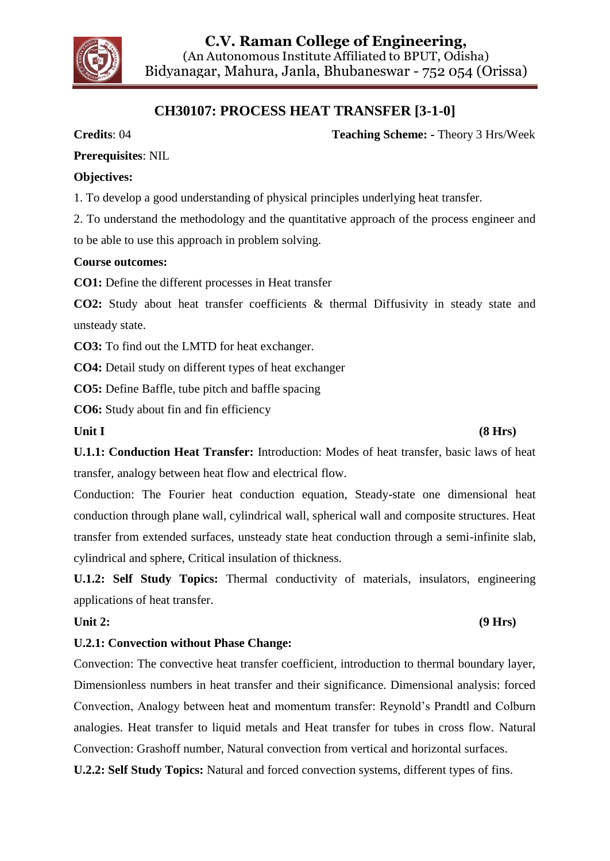

# **CH30107: PROCESS HEAT TRANSFER [3-1-0]**

**Credits**: 04 **Teaching Scheme: -** Theory 3 Hrs/Week

**Prerequisites**: NIL

#### **Objectives:**

1. To develop a good understanding of physical principles underlying heat transfer.

2. To understand the methodology and the quantitative approach of the process engineer and to be able to use this approach in problem solving.

#### **Course outcomes:**

**CO1:** Define the different processes in Heat transfer

**CO2:** Study about heat transfer coefficients & thermal Diffusivity in steady state and unsteady state.

**CO3:** To find out the LMTD for heat exchanger.

**CO4:** Detail study on different types of heat exchanger

**CO5:** Define Baffle, tube pitch and baffle spacing

**CO6:** Study about fin and fin efficiency

#### Unit I (8 Hrs)

**U.1.1: Conduction Heat Transfer:** Introduction: Modes of heat transfer, basic laws of heat transfer, analogy between heat flow and electrical flow.

Conduction: The Fourier heat conduction equation, Steady-state one dimensional heat conduction through plane wall, cylindrical wall, spherical wall and composite structures. Heat transfer from extended surfaces, unsteady state heat conduction through a semi-infinite slab, cylindrical and sphere, Critical insulation of thickness.

**U.1.2: Self Study Topics:** Thermal conductivity of materials, insulators, engineering applications of heat transfer.

#### Unit 2: (9 Hrs)

## **U.2.1: Convection without Phase Change:**

Convection: The convective heat transfer coefficient, introduction to thermal boundary layer, Dimensionless numbers in heat transfer and their significance. Dimensional analysis: forced Convection, Analogy between heat and momentum transfer: Reynold"s Prandtl and Colburn analogies. Heat transfer to liquid metals and Heat transfer for tubes in cross flow. Natural Convection: Grashoff number, Natural convection from vertical and horizontal surfaces. **U.2.2: Self Study Topics:** Natural and forced convection systems, different types of fins.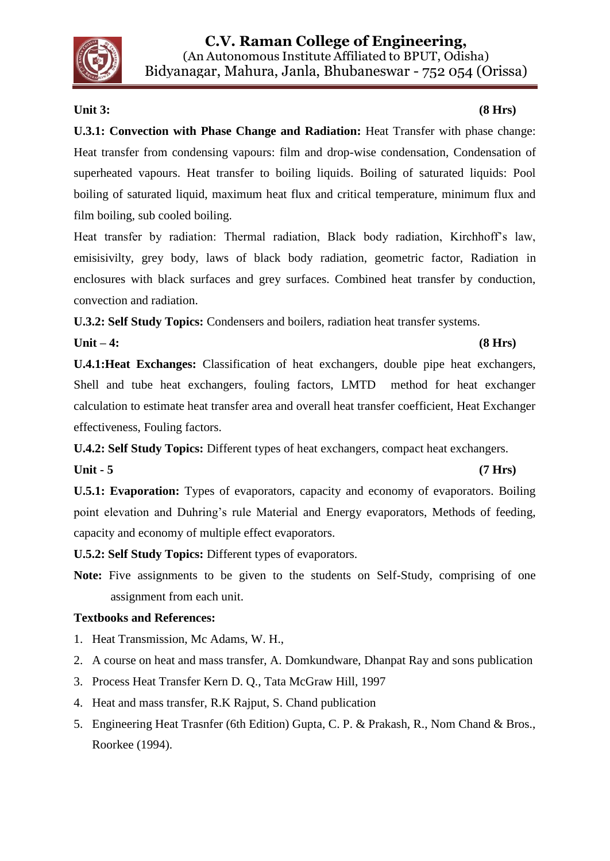

#### Unit 3: (8 Hrs)

**U.3.1: Convection with Phase Change and Radiation:** Heat Transfer with phase change: Heat transfer from condensing vapours: film and drop-wise condensation, Condensation of superheated vapours. Heat transfer to boiling liquids. Boiling of saturated liquids: Pool boiling of saturated liquid, maximum heat flux and critical temperature, minimum flux and film boiling, sub cooled boiling.

Heat transfer by radiation: Thermal radiation, Black body radiation, Kirchhoff's law, emisisivilty, grey body, laws of black body radiation, geometric factor, Radiation in enclosures with black surfaces and grey surfaces. Combined heat transfer by conduction, convection and radiation.

**U.3.2: Self Study Topics:** Condensers and boilers, radiation heat transfer systems.

**Unit – 4: (8 Hrs)**

**U.4.1:Heat Exchanges:** Classification of heat exchangers, double pipe heat exchangers, Shell and tube heat exchangers, fouling factors, LMTD method for heat exchanger calculation to estimate heat transfer area and overall heat transfer coefficient, Heat Exchanger effectiveness, Fouling factors.

**U.4.2: Self Study Topics:** Different types of heat exchangers, compact heat exchangers.

**Unit - 5 (7 Hrs)**

**U.5.1: Evaporation:** Types of evaporators, capacity and economy of evaporators. Boiling point elevation and Duhring's rule Material and Energy evaporators, Methods of feeding, capacity and economy of multiple effect evaporators.

**U.5.2: Self Study Topics:** Different types of evaporators.

**Note:** Five assignments to be given to the students on Self-Study, comprising of one assignment from each unit.

# **Textbooks and References:**

- 1. Heat Transmission, Mc Adams, W. H.,
- 2. A course on heat and mass transfer, A. Domkundware, Dhanpat Ray and sons publication
- 3. Process Heat Transfer Kern D. Q., Tata McGraw Hill, 1997
- 4. Heat and mass transfer, R.K Rajput, S. Chand publication
- 5. Engineering Heat Trasnfer (6th Edition) Gupta, C. P. & Prakash, R., Nom Chand & Bros., Roorkee (1994).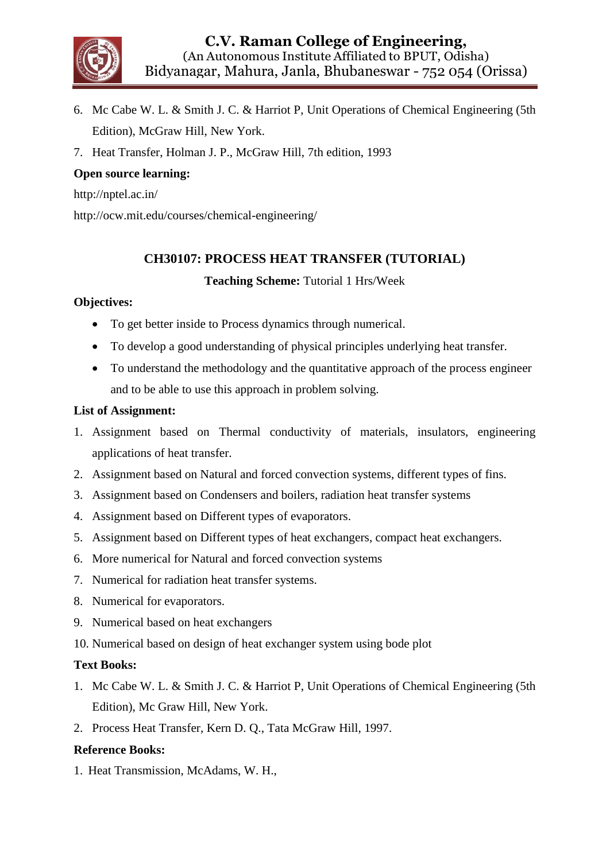

- 6. Mc Cabe W. L. & Smith J. C. & Harriot P, Unit Operations of Chemical Engineering (5th Edition), McGraw Hill, New York.
- 7. Heat Transfer, Holman J. P., McGraw Hill, 7th edition, 1993

#### **Open source learning:**

http://nptel.ac.in/

<http://ocw.mit.edu/courses/chemical-engineering/>

# **CH30107: PROCESS HEAT TRANSFER (TUTORIAL)**

#### **Teaching Scheme:** Tutorial 1 Hrs/Week

#### **Objectives:**

- To get better inside to Process dynamics through numerical.
- To develop a good understanding of physical principles underlying heat transfer.
- To understand the methodology and the quantitative approach of the process engineer and to be able to use this approach in problem solving.

#### **List of Assignment:**

- 1. Assignment based on Thermal conductivity of materials, insulators, engineering applications of heat transfer.
- 2. Assignment based on Natural and forced convection systems, different types of fins.
- 3. Assignment based on Condensers and boilers, radiation heat transfer systems
- 4. Assignment based on Different types of evaporators.
- 5. Assignment based on Different types of heat exchangers, compact heat exchangers.
- 6. More numerical for Natural and forced convection systems
- 7. Numerical for radiation heat transfer systems.
- 8. Numerical for evaporators.
- 9. Numerical based on heat exchangers
- 10. Numerical based on design of heat exchanger system using bode plot

#### **Text Books:**

- 1. Mc Cabe W. L. & Smith J. C. & Harriot P, Unit Operations of Chemical Engineering (5th Edition), Mc Graw Hill, New York.
- 2. Process Heat Transfer, Kern D. Q., Tata McGraw Hill, 1997.

#### **Reference Books:**

1. Heat Transmission, McAdams, W. H.,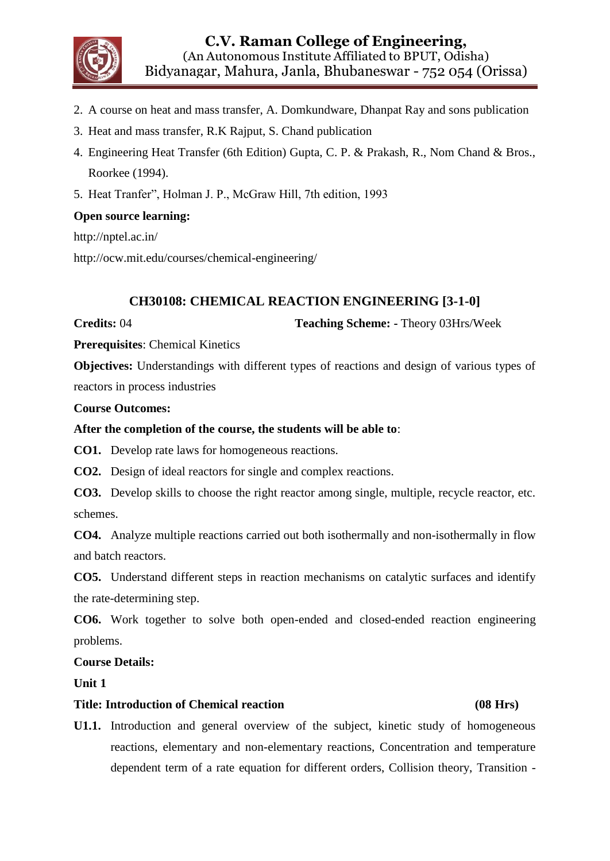

- 2. A course on heat and mass transfer, A. Domkundware, Dhanpat Ray and sons publication
- 3. Heat and mass transfer, R.K Rajput, S. Chand publication
- 4. Engineering Heat Transfer (6th Edition) Gupta, C. P. & Prakash, R., Nom Chand & Bros., Roorkee (1994).
- 5. Heat Tranfer", Holman J. P., McGraw Hill, 7th edition, 1993

#### **Open source learning:**

http://nptel.ac.in/

<http://ocw.mit.edu/courses/chemical-engineering/>

## **CH30108: CHEMICAL REACTION ENGINEERING [3-1-0]**

**Credits: 04 Teaching Scheme: -** Theory 03Hrs/Week

**Prerequisites**: Chemical Kinetics

**Objectives:** Understandings with different types of reactions and design of various types of reactors in process industries

#### **Course Outcomes:**

#### **After the completion of the course, the students will be able to**:

**CO1.** Develop rate laws for homogeneous reactions.

**CO2.** Design of ideal reactors for single and complex reactions.

**CO3.** Develop skills to choose the right reactor among single, multiple, recycle reactor, etc. schemes.

**CO4.** Analyze multiple reactions carried out both isothermally and non-isothermally in flow and batch reactors.

**CO5.** Understand different steps in reaction mechanisms on catalytic surfaces and identify the rate-determining step.

**CO6.** Work together to solve both open-ended and closed-ended reaction engineering problems.

#### **Course Details:**

**Unit 1**

#### **Title: Introduction of Chemical reaction (08 Hrs)**

**U1.1.** Introduction and general overview of the subject, kinetic study of homogeneous reactions, elementary and non-elementary reactions, Concentration and temperature dependent term of a rate equation for different orders, Collision theory, Transition -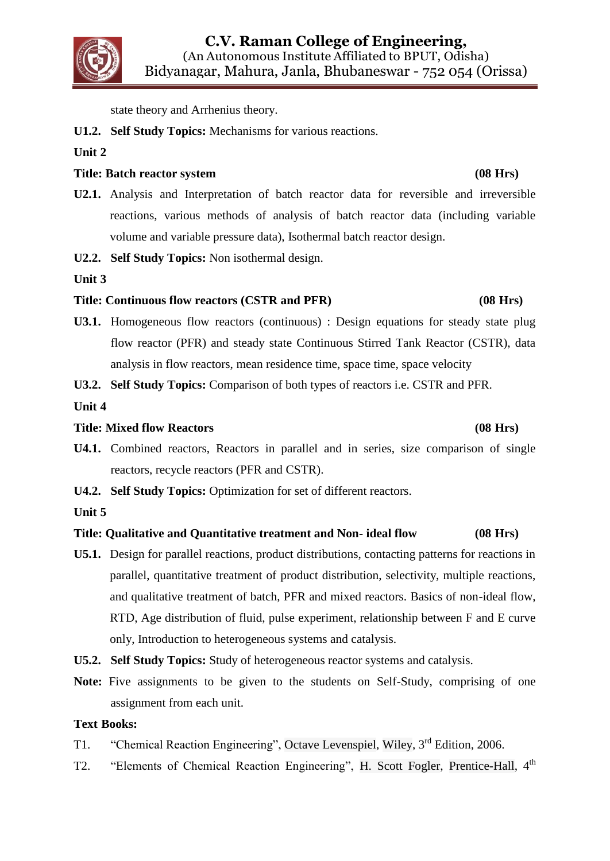state theory and Arrhenius theory.

**U1.2. Self Study Topics:** Mechanisms for various reactions.

# **Unit 2**

# **Title: Batch reactor system (08 Hrs)**

- **U2.1.** Analysis and Interpretation of batch reactor data for reversible and irreversible reactions, various methods of analysis of batch reactor data (including variable volume and variable pressure data), Isothermal batch reactor design.
- **U2.2. Self Study Topics:** Non isothermal design.

# **Unit 3**

# **Title: Continuous flow reactors (CSTR and PFR) (08 Hrs)**

- **U3.1.** Homogeneous flow reactors (continuous) : Design equations for steady state plug flow reactor (PFR) and steady state Continuous Stirred Tank Reactor (CSTR), data analysis in flow reactors, mean residence time, space time, space velocity
- **U3.2. Self Study Topics:** Comparison of both types of reactors i.e. CSTR and PFR.
- **Unit 4**

## **Title: Mixed flow Reactors (08 Hrs)**

- **U4.1.** Combined reactors, Reactors in parallel and in series, size comparison of single reactors, recycle reactors (PFR and CSTR).
- **U4.2. Self Study Topics:** Optimization for set of different reactors.
- **Unit 5**

# **Title: Qualitative and Quantitative treatment and Non- ideal flow (08 Hrs)**

- **U5.1.** Design for parallel reactions, product distributions, contacting patterns for reactions in parallel, quantitative treatment of product distribution, selectivity, multiple reactions, and qualitative treatment of batch, PFR and mixed reactors. Basics of non-ideal flow, RTD, Age distribution of fluid, pulse experiment, relationship between F and E curve only, Introduction to heterogeneous systems and catalysis.
- **U5.2. Self Study Topics:** Study of heterogeneous reactor systems and catalysis.
- **Note:** Five assignments to be given to the students on Self-Study, comprising of one assignment from each unit.

## **Text Books:**

- T1. "Chemical Reaction Engineering", Octave Levenspiel, Wiley, 3<sup>rd</sup> Edition, 2006.
- T2. "Elements of Chemical Reaction Engineering", H. Scott Fogler, Prentice-Hall, 4<sup>th</sup>

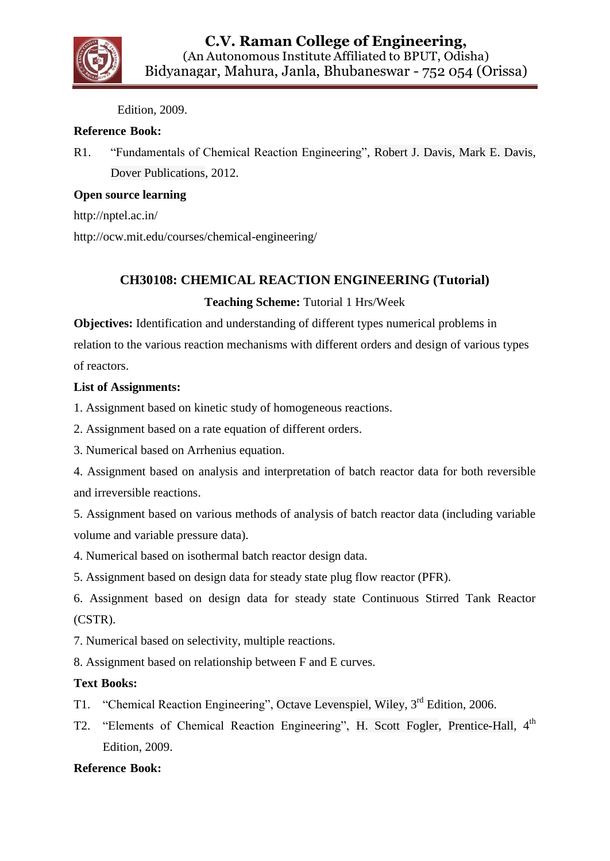

Edition, 2009.

## **Reference Book:**

R1. "Fundamentals of Chemical Reaction Engineering", Robert J. Davis, Mark E. Davis, Dover Publications, 2012.

## **Open source learning**

http://nptel.ac.in/

<http://ocw.mit.edu/courses/chemical-engineering/>

# **CH30108: CHEMICAL REACTION ENGINEERING (Tutorial)**

# **Teaching Scheme:** Tutorial 1 Hrs/Week

**Objectives:** Identification and understanding of different types numerical problems in relation to the various reaction mechanisms with different orders and design of various types of reactors.

# **List of Assignments:**

1. Assignment based on kinetic study of homogeneous reactions.

2. Assignment based on a rate equation of different orders.

3. Numerical based on Arrhenius equation.

4. Assignment based on analysis and interpretation of batch reactor data for both reversible and irreversible reactions.

5. Assignment based on various methods of analysis of batch reactor data (including variable volume and variable pressure data).

4. Numerical based on isothermal batch reactor design data.

5. Assignment based on design data for steady state plug flow reactor (PFR).

6. Assignment based on design data for steady state Continuous Stirred Tank Reactor (CSTR).

7. Numerical based on selectivity, multiple reactions.

8. Assignment based on relationship between F and E curves.

# **Text Books:**

- T1. "Chemical Reaction Engineering", Octave Levenspiel, Wiley, 3<sup>rd</sup> Edition, 2006.
- T2. "Elements of Chemical Reaction Engineering", H. Scott Fogler, Prentice-Hall, 4<sup>th</sup> Edition, 2009.

# **Reference Book:**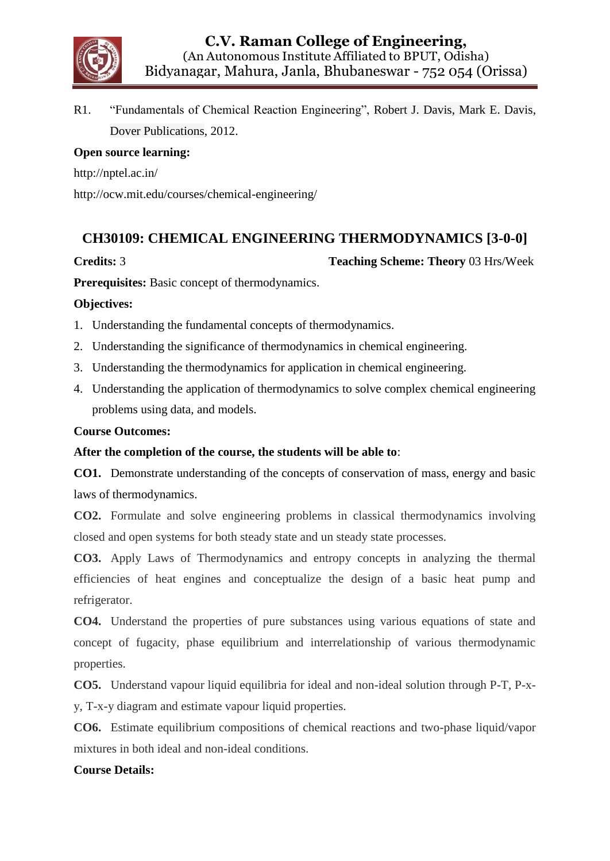

R1. "Fundamentals of Chemical Reaction Engineering", Robert J. Davis, Mark E. Davis, Dover Publications, 2012.

#### **Open source learning:**

http://nptel.ac.in/

<http://ocw.mit.edu/courses/chemical-engineering/>

# **CH30109: CHEMICAL ENGINEERING THERMODYNAMICS [3-0-0]**

**Credits:** 3 **Teaching Scheme: Theory** 03 Hrs/Week

**Prerequisites:** Basic concept of thermodynamics.

#### **Objectives:**

- 1. Understanding the fundamental concepts of thermodynamics.
- 2. Understanding the significance of thermodynamics in chemical engineering.
- 3. Understanding the thermodynamics for application in chemical engineering.
- 4. Understanding the application of thermodynamics to solve complex chemical engineering problems using data, and models.

#### **Course Outcomes:**

#### **After the completion of the course, the students will be able to**:

**CO1.** Demonstrate understanding of the concepts of conservation of mass, energy and basic laws of thermodynamics.

**CO2.** Formulate and solve engineering problems in classical thermodynamics involving closed and open systems for both steady state and un steady state processes.

**CO3.** Apply Laws of Thermodynamics and entropy concepts in analyzing the thermal efficiencies of heat engines and conceptualize the design of a basic heat pump and refrigerator.

**CO4.** Understand the properties of pure substances using various equations of state and concept of fugacity, phase equilibrium and interrelationship of various thermodynamic properties.

**CO5.** Understand vapour liquid equilibria for ideal and non-ideal solution through P-T, P-xy, T-x-y diagram and estimate vapour liquid properties.

**CO6.** Estimate equilibrium compositions of chemical reactions and two-phase liquid/vapor mixtures in both ideal and non-ideal conditions.

#### **Course Details:**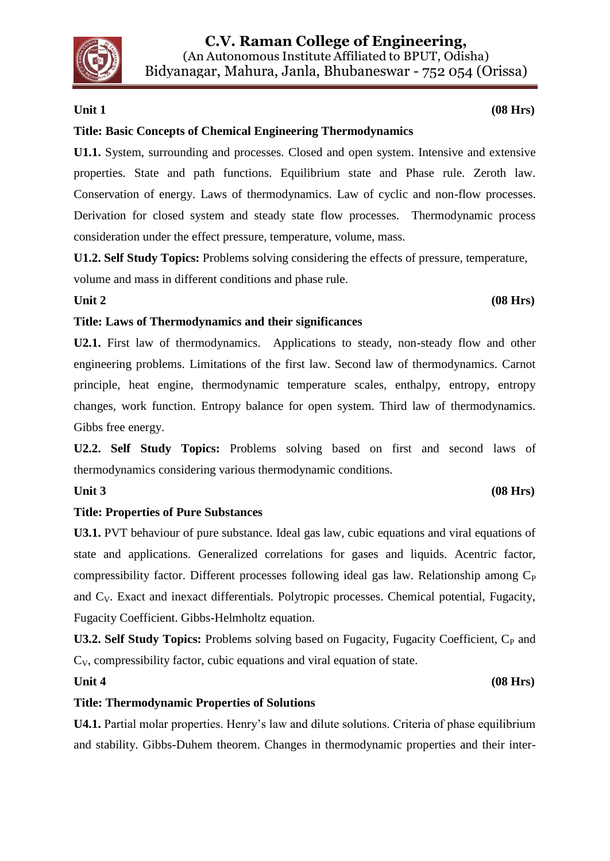

#### **Title: Basic Concepts of Chemical Engineering Thermodynamics**

**U1.1.** System, surrounding and processes. Closed and open system. Intensive and extensive properties. State and path functions. Equilibrium state and Phase rule. Zeroth law. Conservation of energy. Laws of thermodynamics. Law of cyclic and non-flow processes. Derivation for closed system and steady state flow processes. Thermodynamic process consideration under the effect pressure, temperature, volume, mass.

**U1.2. Self Study Topics:** Problems solving considering the effects of pressure, temperature, volume and mass in different conditions and phase rule.

#### **Unit 2** (08 Hrs)

#### **Title: Laws of Thermodynamics and their significances**

**U2.1.** First law of thermodynamics. Applications to steady, non-steady flow and other engineering problems. Limitations of the first law. Second law of thermodynamics. Carnot principle, heat engine, thermodynamic temperature scales, enthalpy, entropy, entropy changes, work function. Entropy balance for open system. Third law of thermodynamics. Gibbs free energy.

**U2.2. Self Study Topics:** Problems solving based on first and second laws of thermodynamics considering various thermodynamic conditions.

## **Title: Properties of Pure Substances**

**U3.1.** PVT behaviour of pure substance. Ideal gas law, cubic equations and viral equations of state and applications. Generalized correlations for gases and liquids. Acentric factor, compressibility factor. Different processes following ideal gas law. Relationship among  $C_P$ and CV. Exact and inexact differentials. Polytropic processes. Chemical potential, Fugacity, Fugacity Coefficient. Gibbs-Helmholtz equation.

**U3.2. Self Study Topics:** Problems solving based on Fugacity, Fugacity Coefficient, C<sub>P</sub> and CV, compressibility factor, cubic equations and viral equation of state.

#### Unit 4 (08 Hrs)

#### **Title: Thermodynamic Properties of Solutions**

**U4.1.** Partial molar properties. Henry"s law and dilute solutions. Criteria of phase equilibrium and stability. Gibbs-Duhem theorem. Changes in thermodynamic properties and their inter-

#### Unit 3 (08 Hrs)

#### Unit 1 (08 Hrs)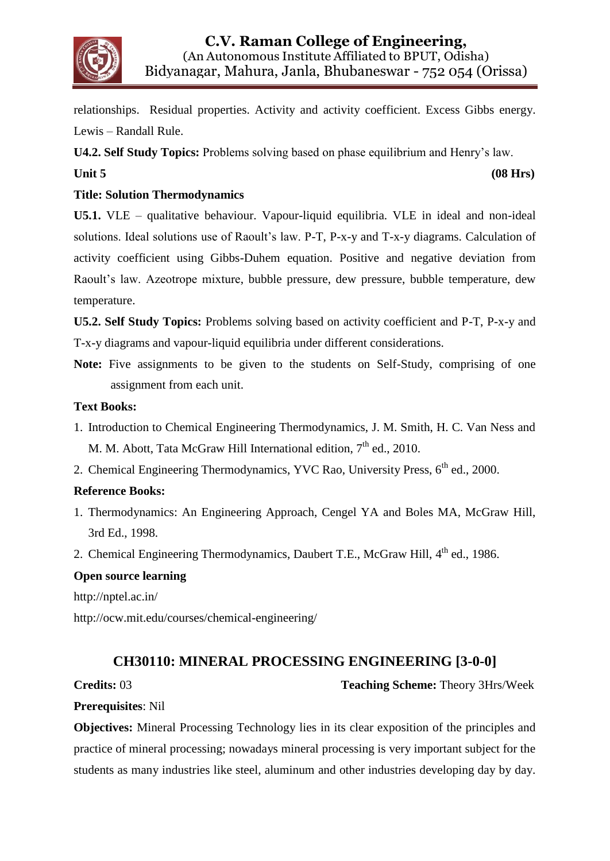

relationships. Residual properties. Activity and activity coefficient. Excess Gibbs energy. Lewis – Randall Rule.

**U4.2. Self Study Topics:** Problems solving based on phase equilibrium and Henry"s law.

Unit 5 (08 Hrs)

## **Title: Solution Thermodynamics**

**U5.1.** VLE – qualitative behaviour. Vapour-liquid equilibria. VLE in ideal and non-ideal solutions. Ideal solutions use of Raoult's law. P-T, P-x-y and T-x-y diagrams. Calculation of activity coefficient using Gibbs-Duhem equation. Positive and negative deviation from Raoult's law. Azeotrope mixture, bubble pressure, dew pressure, bubble temperature, dew temperature.

**U5.2. Self Study Topics:** Problems solving based on activity coefficient and P-T, P-x-y and T-x-y diagrams and vapour-liquid equilibria under different considerations.

**Note:** Five assignments to be given to the students on Self-Study, comprising of one assignment from each unit.

# **Text Books:**

- 1. Introduction to Chemical Engineering Thermodynamics, J. M. Smith, H. C. Van Ness and M. M. Abott, Tata McGraw Hill International edition, 7<sup>th</sup> ed., 2010.
- 2. Chemical Engineering Thermodynamics, YVC Rao, University Press, 6<sup>th</sup> ed., 2000.

# **Reference Books:**

- 1. Thermodynamics: An Engineering Approach, Cengel YA and Boles MA, McGraw Hill, 3rd Ed., 1998.
- 2. Chemical Engineering Thermodynamics, Daubert T.E., McGraw Hill, 4<sup>th</sup> ed., 1986.

## **Open source learning**

http://nptel.ac.in/

<http://ocw.mit.edu/courses/chemical-engineering/>

# **CH30110: MINERAL PROCESSING ENGINEERING [3-0-0]**

# **Credits:** 03 **Teaching Scheme:** Theory 3Hrs/Week

**Prerequisites**: Nil

**Objectives:** Mineral Processing Technology lies in its clear exposition of the principles and practice of mineral processing; nowadays mineral processing is very important subject for the students as many industries like steel, aluminum and other industries developing day by day.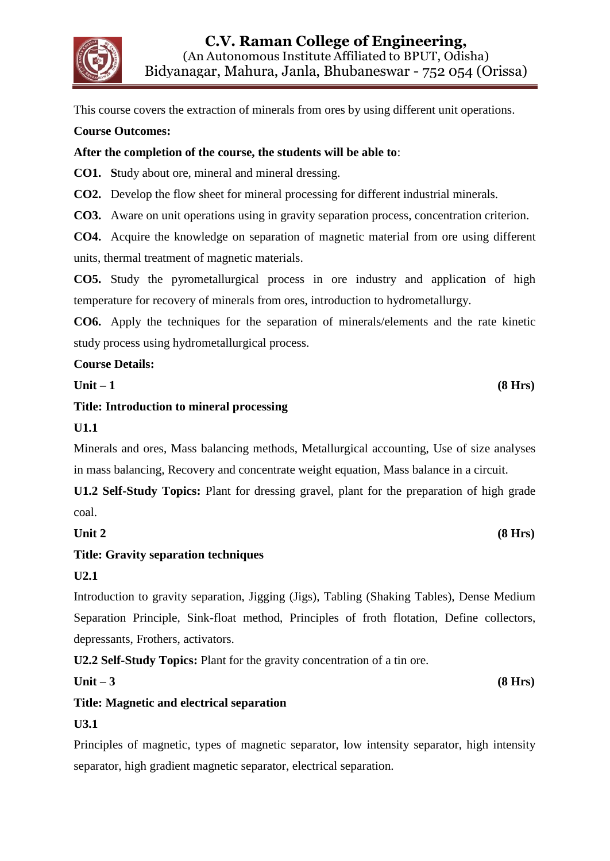

This course covers the extraction of minerals from ores by using different unit operations.

#### **Course Outcomes:**

#### **After the completion of the course, the students will be able to**:

**CO1. S**tudy about ore, mineral and mineral dressing.

**CO2.** Develop the flow sheet for mineral processing for different industrial minerals.

**CO3.** Aware on unit operations using in gravity separation process, concentration criterion.

**CO4.** Acquire the knowledge on separation of magnetic material from ore using different units, thermal treatment of magnetic materials.

**CO5.** Study the pyrometallurgical process in ore industry and application of high temperature for recovery of minerals from ores, introduction to hydrometallurgy.

**CO6.** Apply the techniques for the separation of minerals/elements and the rate kinetic study process using hydrometallurgical process.

#### **Course Details:**

**Unit – 1 (8 Hrs)**

#### **Title: Introduction to mineral processing**

#### **U1.1**

Minerals and ores, Mass balancing methods, Metallurgical accounting, Use of size analyses in mass balancing, Recovery and concentrate weight equation, Mass balance in a circuit.

**U1.2 Self-Study Topics:** Plant for dressing gravel, plant for the preparation of high grade coal.

**Unit 2** (8 Hrs)

## **Title: Gravity separation techniques**

**U2.1** 

Introduction to gravity separation, Jigging (Jigs), Tabling (Shaking Tables), Dense Medium Separation Principle, Sink-float method, Principles of froth flotation, Define collectors, depressants, Frothers, activators.

**U2.2 Self-Study Topics:** Plant for the gravity concentration of a tin ore.

**Unit – 3 (8 Hrs)**

## **Title: Magnetic and electrical separation**

## **U3.1**

Principles of magnetic, types of magnetic separator, low intensity separator, high intensity separator, high gradient magnetic separator, electrical separation.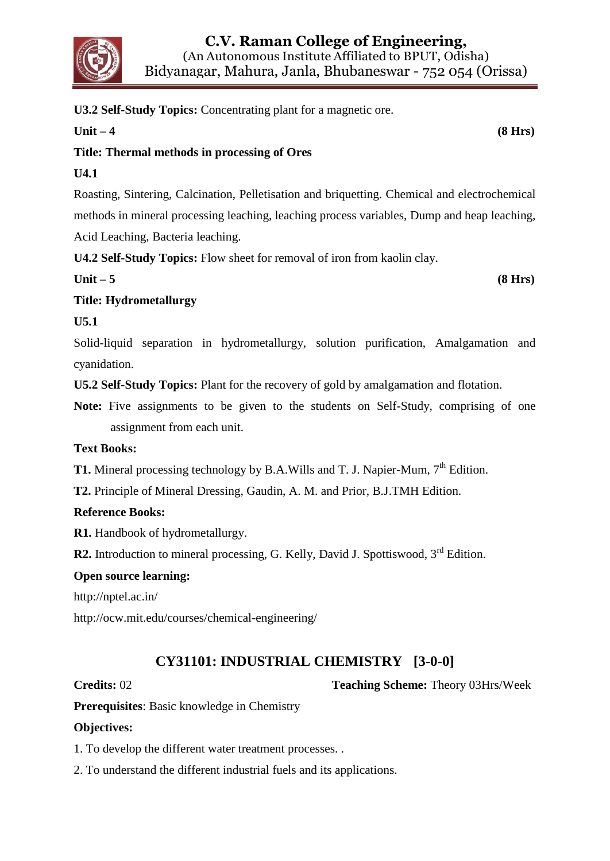

**U3.2 Self-Study Topics:** Concentrating plant for a magnetic ore.

**Unit – 4 (8 Hrs)**

# **Title: Thermal methods in processing of Ores**

## **U4.1**

Roasting, Sintering, Calcination, Pelletisation and briquetting. Chemical and electrochemical methods in mineral processing leaching, leaching process variables, Dump and heap leaching, Acid Leaching, Bacteria leaching.

**U4.2 Self-Study Topics:** Flow sheet for removal of iron from kaolin clay.

**Unit – 5 (8 Hrs)**

# **Title: Hydrometallurgy**

# **U5.1**

Solid-liquid separation in hydrometallurgy, solution purification, Amalgamation and cyanidation.

**U5.2 Self-Study Topics:** Plant for the recovery of gold by amalgamation and flotation.

**Note:** Five assignments to be given to the students on Self-Study, comprising of one assignment from each unit.

## **Text Books:**

**T1.** Mineral processing technology by B.A.Wills and T. J. Napier-Mum, 7<sup>th</sup> Edition.

**T2.** Principle of Mineral Dressing, Gaudin, A. M. and Prior, B.J.TMH Edition.

# **Reference Books:**

**R1.** Handbook of hydrometallurgy.

**R2.** Introduction to mineral processing, G. Kelly, David J. Spottiswood, 3<sup>rd</sup> Edition.

## **Open source learning:**

http://nptel.ac.in/

<http://ocw.mit.edu/courses/chemical-engineering/>

# **CY31101: INDUSTRIAL CHEMISTRY [3-0-0]**

**Credits:** 02 **Teaching Scheme:** Theory 03Hrs/Week

**Prerequisites**: Basic knowledge in Chemistry

# **Objectives:**

1. To develop the different water treatment processes. .

2. To understand the different industrial fuels and its applications.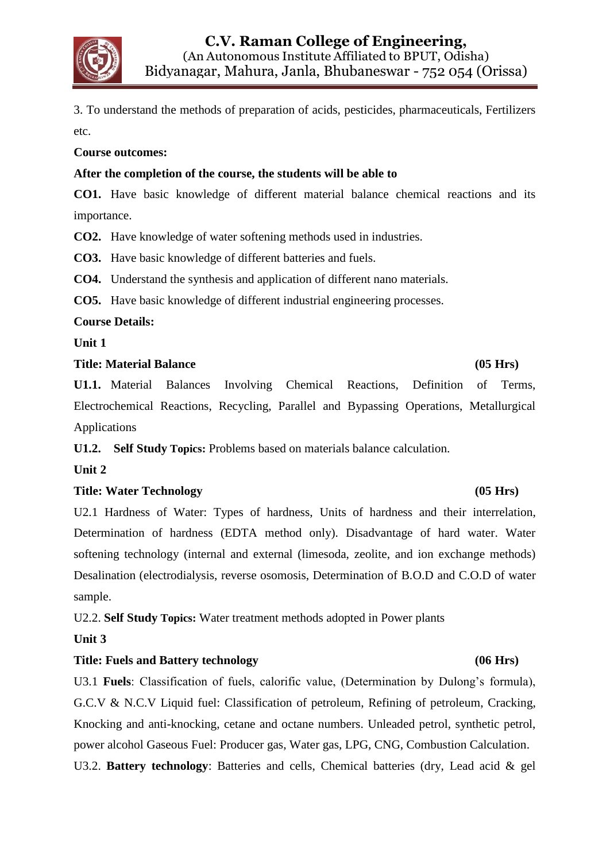

3. To understand the methods of preparation of acids, pesticides, pharmaceuticals, Fertilizers etc.

**Course outcomes:** 

#### **After the completion of the course, the students will be able to**

**CO1.** Have basic knowledge of different material balance chemical reactions and its importance.

**CO2.** Have knowledge of water softening methods used in industries.

**CO3.** Have basic knowledge of different batteries and fuels.

**CO4.** Understand the synthesis and application of different nano materials.

**CO5.** Have basic knowledge of different industrial engineering processes.

#### **Course Details:**

**Unit 1**

#### **Title: Material Balance (05 Hrs)**

**U1.1.** Material Balances Involving Chemical Reactions, Definition of Terms, Electrochemical Reactions, Recycling, Parallel and Bypassing Operations, Metallurgical Applications

**U1.2. Self Study Topics:** Problems based on materials balance calculation.

#### **Unit 2**

## **Title: Water Technology (05 Hrs)**

U2.1 Hardness of Water: Types of hardness, Units of hardness and their interrelation, Determination of hardness (EDTA method only). Disadvantage of hard water. Water softening technology (internal and external (limesoda, zeolite, and ion exchange methods) Desalination (electrodialysis, reverse osomosis, Determination of B.O.D and C.O.D of water sample.

U2.2. **Self Study Topics:** Water treatment methods adopted in Power plants

#### **Unit 3**

## **Title: Fuels and Battery technology (06 Hrs)**

U3.1 **Fuels**: Classification of fuels, calorific value, (Determination by Dulong"s formula), G.C.V & N.C.V Liquid fuel: Classification of petroleum, Refining of petroleum, Cracking, Knocking and anti-knocking, cetane and octane numbers. Unleaded petrol, synthetic petrol, power alcohol Gaseous Fuel: Producer gas, Water gas, LPG, CNG, Combustion Calculation. U3.2. **Battery technology**: Batteries and cells, Chemical batteries (dry, Lead acid & gel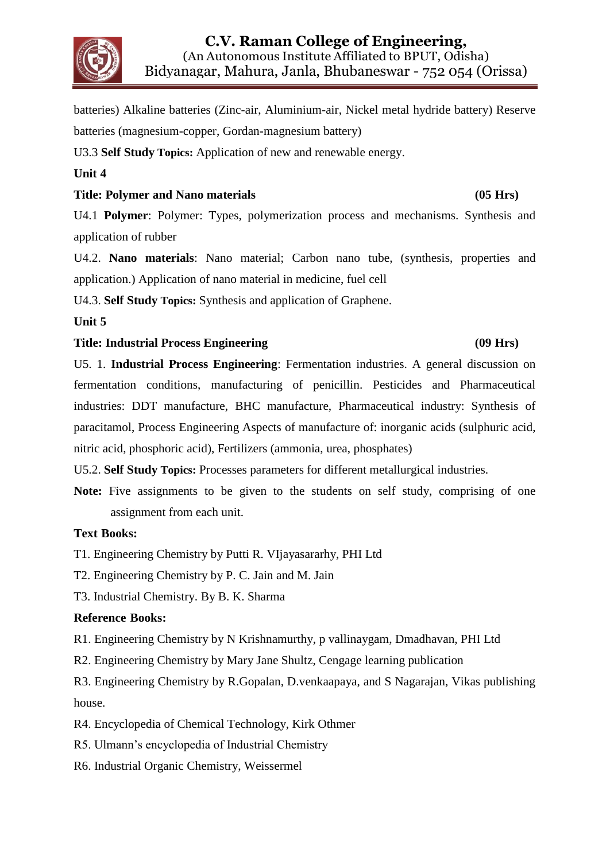

batteries) Alkaline batteries (Zinc-air, Aluminium-air, Nickel metal hydride battery) Reserve batteries (magnesium-copper, Gordan-magnesium battery)

U3.3 **Self Study Topics:** Application of new and renewable energy.

**Unit 4**

#### **Title: Polymer and Nano materials (05 Hrs)**

U4.1 **Polymer**: Polymer: Types, polymerization process and mechanisms. Synthesis and application of rubber

U4.2. **Nano materials**: Nano material; Carbon nano tube, (synthesis, properties and application.) Application of nano material in medicine, fuel cell

U4.3. **Self Study Topics:** Synthesis and application of Graphene.

## **Unit 5**

# **Title: Industrial Process Engineering (09 Hrs)**

# U5. 1. **Industrial Process Engineering**: Fermentation industries. A general discussion on fermentation conditions, manufacturing of penicillin. Pesticides and Pharmaceutical industries: DDT manufacture, BHC manufacture, Pharmaceutical industry: Synthesis of paracitamol, Process Engineering Aspects of manufacture of: inorganic acids (sulphuric acid, nitric acid, phosphoric acid), Fertilizers (ammonia, urea, phosphates)

U5.2. **Self Study Topics:** Processes parameters for different metallurgical industries.

Note: Five assignments to be given to the students on self study, comprising of one assignment from each unit.

## **Text Books:**

T1. Engineering Chemistry by Putti R. VIjayasararhy, PHI Ltd

T2. Engineering Chemistry by P. C. Jain and M. Jain

T3. Industrial Chemistry. By B. K. Sharma

## **Reference Books:**

R1. Engineering Chemistry by N Krishnamurthy, p vallinaygam, Dmadhavan, PHI Ltd

R2. Engineering Chemistry by Mary Jane Shultz, Cengage learning publication

R3. Engineering Chemistry by R.Gopalan, D.venkaapaya, and S Nagarajan, Vikas publishing house.

- R4. Encyclopedia of Chemical Technology, Kirk Othmer
- R5. Ulmann"s encyclopedia of Industrial Chemistry
- R6. Industrial Organic Chemistry, Weissermel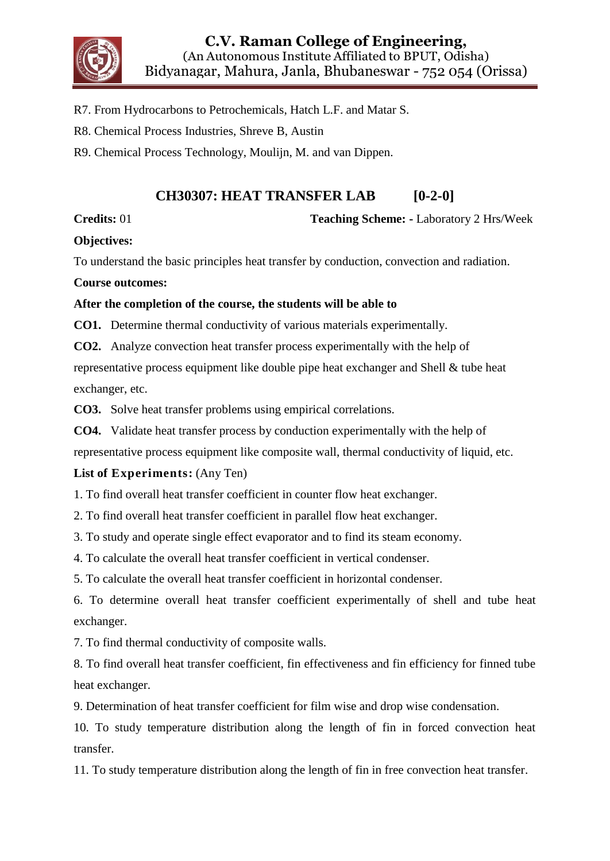

- R7. From Hydrocarbons to Petrochemicals, Hatch L.F. and Matar S.
- R8. Chemical Process Industries, Shreve B, Austin
- R9. Chemical Process Technology, Moulijn, M. and van Dippen.

# **CH30307: HEAT TRANSFER LAB [0-2-0]**

**Credits:** 01 **Teaching Scheme: -** Laboratory 2 Hrs/Week

## **Objectives:**

To understand the basic principles heat transfer by conduction, convection and radiation.

**Course outcomes:**

## **After the completion of the course, the students will be able to**

**CO1.** Determine thermal conductivity of various materials experimentally.

**CO2.** Analyze convection heat transfer process experimentally with the help of

representative process equipment like double pipe heat exchanger and Shell & tube heat exchanger, etc.

**CO3.** Solve heat transfer problems using empirical correlations.

**CO4.** Validate heat transfer process by conduction experimentally with the help of representative process equipment like composite wall, thermal conductivity of liquid, etc.

# List of **Experiments:** (Any Ten)

1. To find overall heat transfer coefficient in counter flow heat exchanger.

2. To find overall heat transfer coefficient in parallel flow heat exchanger.

3. To study and operate single effect evaporator and to find its steam economy.

4. To calculate the overall heat transfer coefficient in vertical condenser.

5. To calculate the overall heat transfer coefficient in horizontal condenser.

6. To determine overall heat transfer coefficient experimentally of shell and tube heat exchanger.

7. To find thermal conductivity of composite walls.

8. To find overall heat transfer coefficient, fin effectiveness and fin efficiency for finned tube heat exchanger.

9. Determination of heat transfer coefficient for film wise and drop wise condensation.

10. To study temperature distribution along the length of fin in forced convection heat transfer.

11. To study temperature distribution along the length of fin in free convection heat transfer.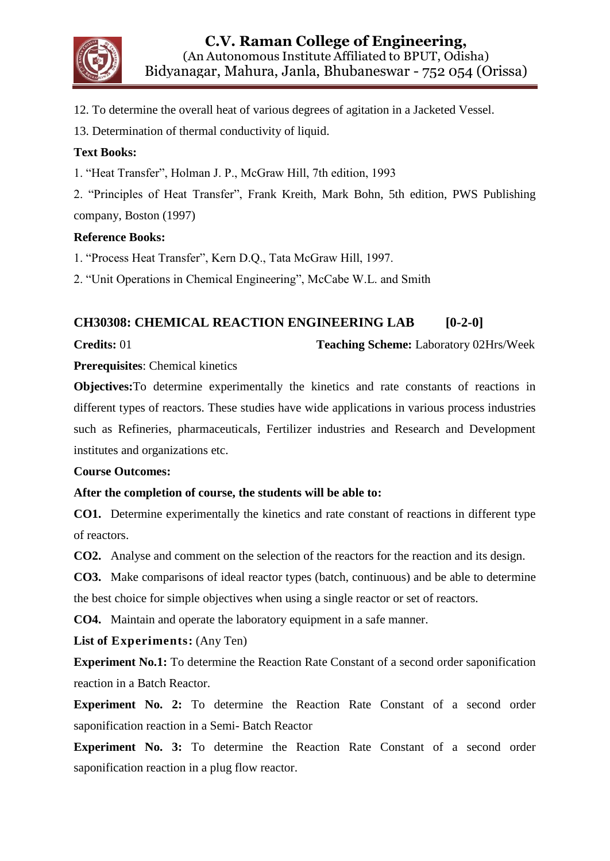

- 12. To determine the overall heat of various degrees of agitation in a Jacketed Vessel.
- 13. Determination of thermal conductivity of liquid.

#### **Text Books:**

1. "Heat Transfer", Holman J. P., McGraw Hill, 7th edition, 1993

2. "Principles of Heat Transfer", Frank Kreith, Mark Bohn, 5th edition, PWS Publishing company, Boston (1997)

#### **Reference Books:**

- 1. "Process Heat Transfer", Kern D.Q., Tata McGraw Hill, 1997.
- 2. "Unit Operations in Chemical Engineering", McCabe W.L. and Smith

## **CH30308: CHEMICAL REACTION ENGINEERING LAB [0-2-0]**

**Credits:** 01 **Teaching Scheme:** Laboratory 02Hrs/Week

**Prerequisites**: Chemical kinetics

**Objectives:**To determine experimentally the kinetics and rate constants of reactions in different types of reactors. These studies have wide applications in various process industries such as Refineries, pharmaceuticals, Fertilizer industries and Research and Development institutes and organizations etc.

#### **Course Outcomes:**

#### **After the completion of course, the students will be able to:**

**CO1.** Determine experimentally the kinetics and rate constant of reactions in different type of reactors.

**CO2.** Analyse and comment on the selection of the reactors for the reaction and its design.

**CO3.** Make comparisons of ideal reactor types (batch, continuous) and be able to determine the best choice for simple objectives when using a single reactor or set of reactors.

**CO4.** Maintain and operate the laboratory equipment in a safe manner.

List of **Experiments:** (Any Ten)

**Experiment No.1:** To determine the Reaction Rate Constant of a second order saponification reaction in a Batch Reactor.

**Experiment No. 2:** To determine the Reaction Rate Constant of a second order saponification reaction in a Semi- Batch Reactor

**Experiment No. 3:** To determine the Reaction Rate Constant of a second order saponification reaction in a plug flow reactor.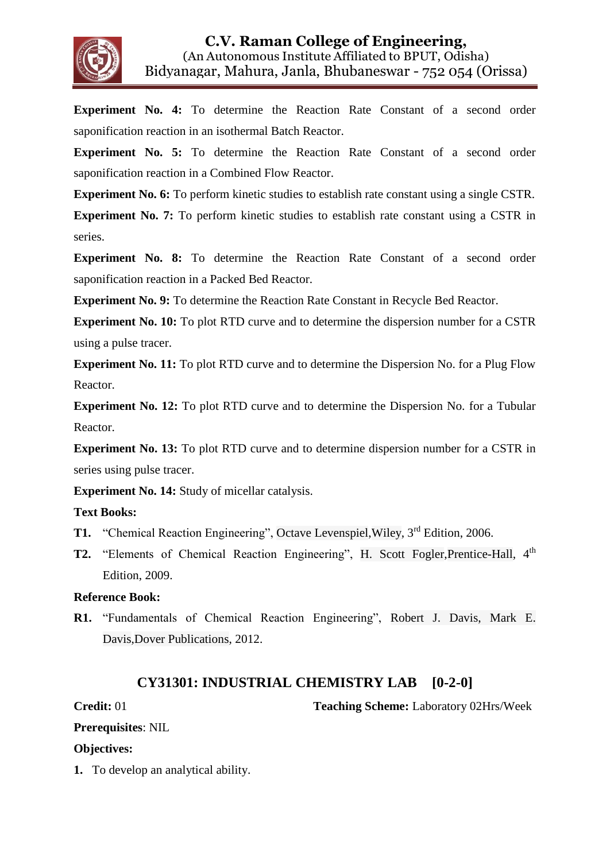

**Experiment No. 4:** To determine the Reaction Rate Constant of a second order saponification reaction in an isothermal Batch Reactor.

**Experiment No. 5:** To determine the Reaction Rate Constant of a second order saponification reaction in a Combined Flow Reactor.

**Experiment No. 6:** To perform kinetic studies to establish rate constant using a single CSTR.

**Experiment No. 7:** To perform kinetic studies to establish rate constant using a CSTR in series.

**Experiment No. 8:** To determine the Reaction Rate Constant of a second order saponification reaction in a Packed Bed Reactor.

**Experiment No. 9:** To determine the Reaction Rate Constant in Recycle Bed Reactor.

**Experiment No. 10:** To plot RTD curve and to determine the dispersion number for a CSTR using a pulse tracer.

**Experiment No. 11:** To plot RTD curve and to determine the Dispersion No. for a Plug Flow Reactor.

**Experiment No. 12:** To plot RTD curve and to determine the Dispersion No. for a Tubular Reactor.

**Experiment No. 13:** To plot RTD curve and to determine dispersion number for a CSTR in series using pulse tracer.

**Experiment No. 14:** Study of micellar catalysis.

#### **Text Books:**

- **T1.** "Chemical Reaction Engineering", Octave Levenspiel, Wiley, 3<sup>rd</sup> Edition, 2006.
- **T2.** "Elements of Chemical Reaction Engineering", H. Scott Fogler, Prentice-Hall, 4<sup>th</sup> Edition, 2009.

#### **Reference Book:**

**R1.** "Fundamentals of Chemical Reaction Engineering", Robert J. Davis, Mark E. Davis,Dover Publications, 2012.

## **CY31301: INDUSTRIAL CHEMISTRY LAB [0-2-0]**

**Credit:** 01 **Teaching Scheme:** Laboratory 02Hrs/Week

#### **Prerequisites**: NIL

#### **Objectives:**

**1.** To develop an analytical ability.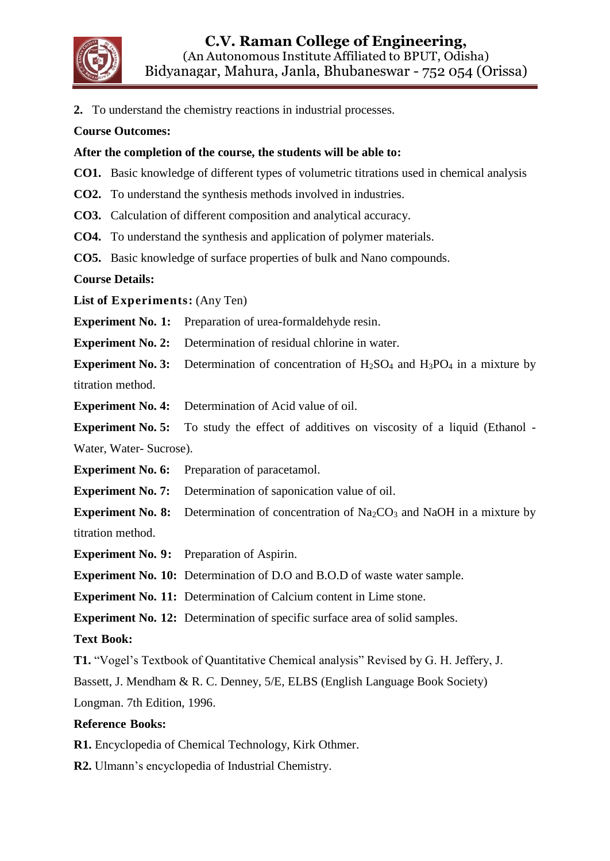

**2.** To understand the chemistry reactions in industrial processes.

#### **Course Outcomes:**

#### **After the completion of the course, the students will be able to:**

- **CO1.** Basic knowledge of different types of volumetric titrations used in chemical analysis
- **CO2.** To understand the synthesis methods involved in industries.
- **CO3.** Calculation of different composition and analytical accuracy.
- **CO4.** To understand the synthesis and application of polymer materials.
- **CO5.** Basic knowledge of surface properties of bulk and Nano compounds.

#### **Course Details:**

List of **Experiments:** (Any Ten)

**Experiment No. 1:** Preparation of urea-formaldehyde resin.

**Experiment No. 2:** Determination of residual chlorine in water.

**Experiment No. 3:** Determination of concentration of  $H_2SO_4$  and  $H_3PO_4$  in a mixture by titration method.

**Experiment No. 4:** Determination of Acid value of oil.

**Experiment No. 5:** To study the effect of additives on viscosity of a liquid (Ethanol -Water, Water- Sucrose).

**Experiment No. 6:** Preparation of paracetamol.

**Experiment No. 7:** Determination of saponication value of oil.

**Experiment No. 8:** Determination of concentration of  $\text{Na}_2\text{CO}_3$  and NaOH in a mixture by titration method.

**Experiment No. 9:** Preparation of Aspirin.

**Experiment No. 10:** Determination of D.O and B.O.D of waste water sample.

**Experiment No. 11:** Determination of Calcium content in Lime stone.

**Experiment No. 12:** Determination of specific surface area of solid samples.

**Text Book:**

**T1.** "Vogel"s Textbook of Quantitative Chemical analysis" Revised by G. H. Jeffery, J.

Bassett, J. Mendham & R. C. Denney, 5/E, ELBS (English Language Book Society)

Longman. 7th Edition, 1996.

#### **Reference Books:**

**R1.** Encyclopedia of Chemical Technology, Kirk Othmer.

**R2.** Ulmann"s encyclopedia of Industrial Chemistry.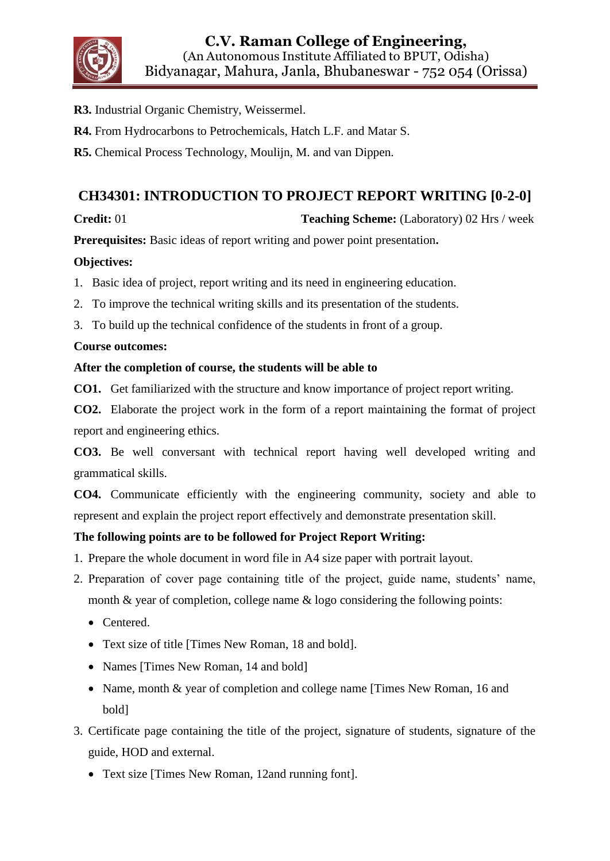

- **R3.** Industrial Organic Chemistry, Weissermel.
- **R4.** From Hydrocarbons to Petrochemicals, Hatch L.F. and Matar S.

**R5.** Chemical Process Technology, Moulijn, M. and van Dippen.

# **CH34301: INTRODUCTION TO PROJECT REPORT WRITING [0-2-0]**

**Credit:** 01 **Teaching Scheme:** (Laboratory) 02 Hrs / week

**Prerequisites:** Basic ideas of report writing and power point presentation**.**

# **Objectives:**

- 1. Basic idea of project, report writing and its need in engineering education.
- 2. To improve the technical writing skills and its presentation of the students.
- 3. To build up the technical confidence of the students in front of a group.

# **Course outcomes:**

# **After the completion of course, the students will be able to**

**CO1.** Get familiarized with the structure and know importance of project report writing.

**CO2.** Elaborate the project work in the form of a report maintaining the format of project report and engineering ethics.

**CO3.** Be well conversant with technical report having well developed writing and grammatical skills.

**CO4.** Communicate efficiently with the engineering community, society and able to represent and explain the project report effectively and demonstrate presentation skill.

# **The following points are to be followed for Project Report Writing:**

- 1. Prepare the whole document in word file in A4 size paper with portrait layout.
- 2. Preparation of cover page containing title of the project, guide name, students" name, month  $\&$  year of completion, college name  $\&$  logo considering the following points:
	- Centered.
	- Text size of title [Times New Roman, 18 and bold].
	- Names [Times New Roman, 14 and bold]
	- Name, month & year of completion and college name [Times New Roman, 16 and bold]
- 3. Certificate page containing the title of the project, signature of students, signature of the guide, HOD and external.
	- Text size [Times New Roman, 12and running font].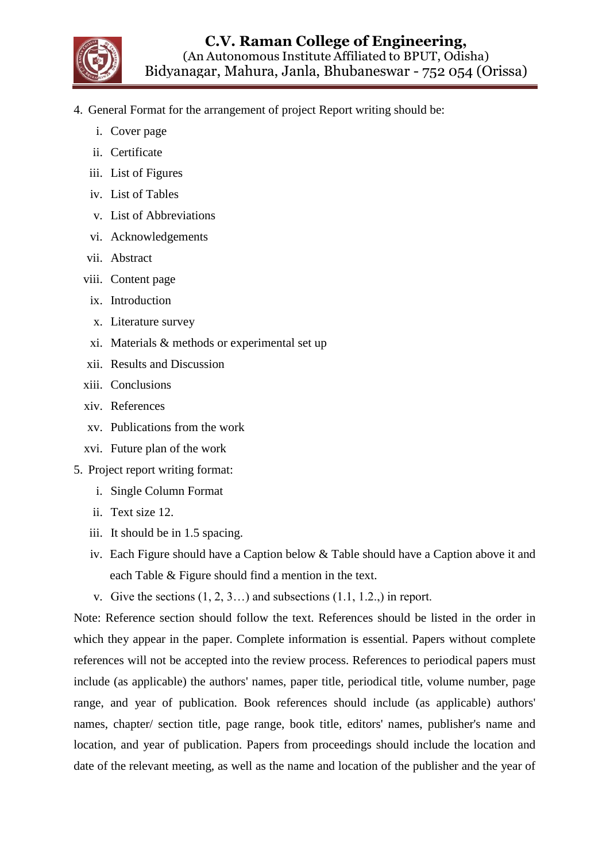

- 4. General Format for the arrangement of project Report writing should be:
	- i. Cover page
	- ii. Certificate
	- iii. List of Figures
	- iv. List of Tables
	- v. List of Abbreviations
	- vi. Acknowledgements
	- vii. Abstract
	- viii. Content page
	- ix. Introduction
	- x. Literature survey
	- xi. Materials & methods or experimental set up
	- xii. Results and Discussion
	- xiii. Conclusions
	- xiv. References
	- xv. Publications from the work
	- xvi. Future plan of the work
- 5. Project report writing format:
	- i. Single Column Format
	- ii. Text size 12.
	- iii. It should be in 1.5 spacing.
	- iv. Each Figure should have a Caption below & Table should have a Caption above it and each Table & Figure should find a mention in the text.
	- v. Give the sections  $(1, 2, 3...)$  and subsections  $(1.1, 1.2.)$  in report.

Note: Reference section should follow the text. References should be listed in the order in which they appear in the paper. Complete information is essential. Papers without complete references will not be accepted into the review process. References to periodical papers must include (as applicable) the authors' names, paper title, periodical title, volume number, page range, and year of publication. Book references should include (as applicable) authors' names, chapter/ section title, page range, book title, editors' names, publisher's name and location, and year of publication. Papers from proceedings should include the location and date of the relevant meeting, as well as the name and location of the publisher and the year of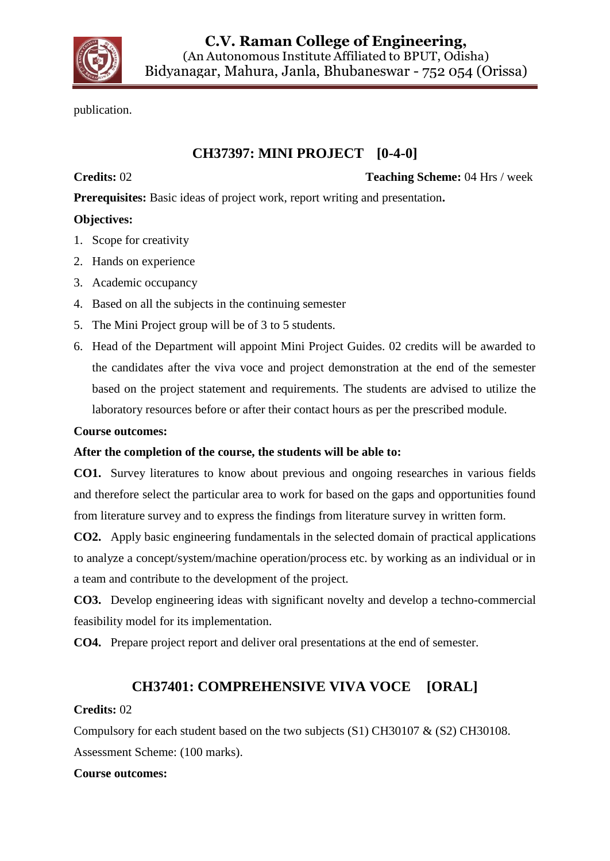

publication.

# **CH37397: MINI PROJECT [0-4-0]**

**Credits:** 02 **Teaching Scheme:** 04 Hrs / week

**Prerequisites:** Basic ideas of project work, report writing and presentation**.**

## **Objectives:**

- 1. Scope for creativity
- 2. Hands on experience
- 3. Academic occupancy
- 4. Based on all the subjects in the continuing semester
- 5. The Mini Project group will be of 3 to 5 students.
- 6. Head of the Department will appoint Mini Project Guides. 02 credits will be awarded to the candidates after the viva voce and project demonstration at the end of the semester based on the project statement and requirements. The students are advised to utilize the laboratory resources before or after their contact hours as per the prescribed module.

## **Course outcomes:**

## **After the completion of the course, the students will be able to:**

**CO1.** Survey literatures to know about previous and ongoing researches in various fields and therefore select the particular area to work for based on the gaps and opportunities found from literature survey and to express the findings from literature survey in written form.

**CO2.** Apply basic engineering fundamentals in the selected domain of practical applications to analyze a concept/system/machine operation/process etc. by working as an individual or in a team and contribute to the development of the project.

**CO3.** Develop engineering ideas with significant novelty and develop a techno-commercial feasibility model for its implementation.

**CO4.** Prepare project report and deliver oral presentations at the end of semester.

# **CH37401: COMPREHENSIVE VIVA VOCE [ORAL]**

## **Credits:** 02

Compulsory for each student based on the two subjects (S1) CH30107 & (S2) CH30108. Assessment Scheme: (100 marks).

## **Course outcomes:**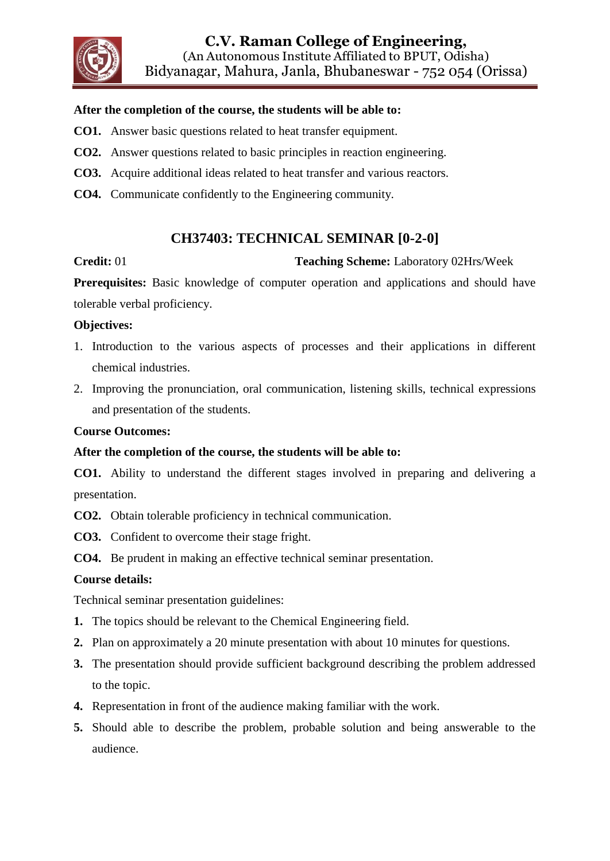

#### **After the completion of the course, the students will be able to:**

- **CO1.** Answer basic questions related to heat transfer equipment.
- **CO2.** Answer questions related to basic principles in reaction engineering.
- **CO3.** Acquire additional ideas related to heat transfer and various reactors.
- **CO4.** Communicate confidently to the Engineering community.

# **CH37403: TECHNICAL SEMINAR [0-2-0]**

**Credit:** 01 **Teaching Scheme:** Laboratory 02Hrs/Week

**Prerequisites:** Basic knowledge of computer operation and applications and should have tolerable verbal proficiency.

#### **Objectives:**

- 1. Introduction to the various aspects of processes and their applications in different chemical industries.
- 2. Improving the pronunciation, oral communication, listening skills, technical expressions and presentation of the students.

#### **Course Outcomes:**

#### **After the completion of the course, the students will be able to:**

**CO1.** Ability to understand the different stages involved in preparing and delivering a presentation.

**CO2.** Obtain tolerable proficiency in technical communication.

**CO3.** Confident to overcome their stage fright.

**CO4.** Be prudent in making an effective technical seminar presentation.

#### **Course details:**

Technical seminar presentation guidelines:

- **1.** The topics should be relevant to the Chemical Engineering field.
- **2.** Plan on approximately a 20 minute presentation with about 10 minutes for questions.
- **3.** The presentation should provide sufficient background describing the problem addressed to the topic.
- **4.** Representation in front of the audience making familiar with the work.
- **5.** Should able to describe the problem, probable solution and being answerable to the audience.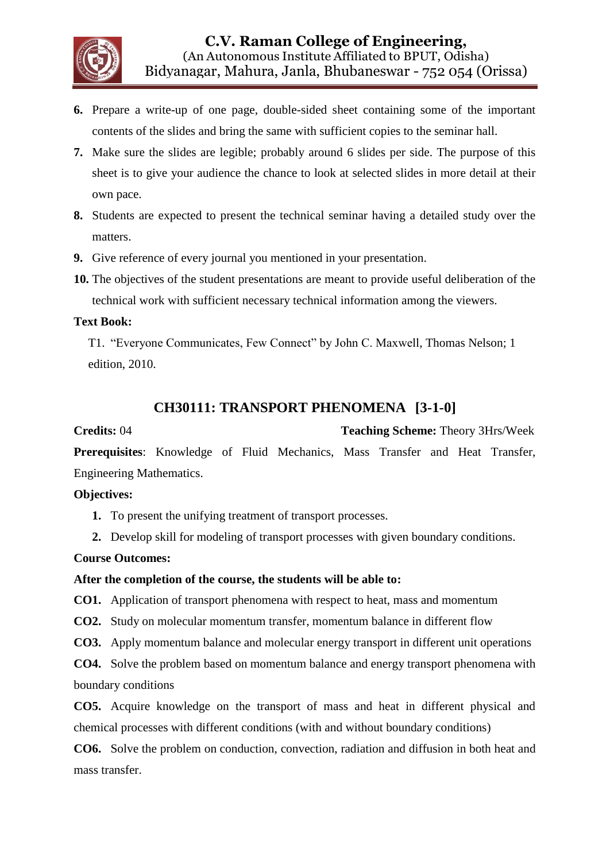

- **6.** Prepare a write-up of one page, double-sided sheet containing some of the important contents of the slides and bring the same with sufficient copies to the seminar hall.
- **7.** Make sure the slides are legible; probably around 6 slides per side. The purpose of this sheet is to give your audience the chance to look at selected slides in more detail at their own pace.
- **8.** Students are expected to present the technical seminar having a detailed study over the matters.
- **9.** Give reference of every journal you mentioned in your presentation.
- **10.** The objectives of the student presentations are meant to provide useful deliberation of the technical work with sufficient necessary technical information among the viewers.

#### **Text Book:**

T1. "Everyone Communicates, Few Connect" by John C. Maxwell, Thomas Nelson; 1 edition, 2010.

# **CH30111: TRANSPORT PHENOMENA [3-1-0]**

**Credits: 04 Teaching Scheme: Theory 3Hrs/Week Prerequisites**: Knowledge of Fluid Mechanics, Mass Transfer and Heat Transfer, Engineering Mathematics.

#### **Objectives:**

- **1.** To present the unifying treatment of transport processes.
- **2.** Develop skill for modeling of transport processes with given boundary conditions.

#### **Course Outcomes:**

#### **After the completion of the course, the students will be able to:**

- **CO1.** Application of transport phenomena with respect to heat, mass and momentum
- **CO2.** Study on molecular momentum transfer, momentum balance in different flow
- **CO3.** Apply momentum balance and molecular energy transport in different unit operations

**CO4.** Solve the problem based on momentum balance and energy transport phenomena with boundary conditions

**CO5.** Acquire knowledge on the transport of mass and heat in different physical and chemical processes with different conditions (with and without boundary conditions)

**CO6.** Solve the problem on conduction, convection, radiation and diffusion in both heat and mass transfer.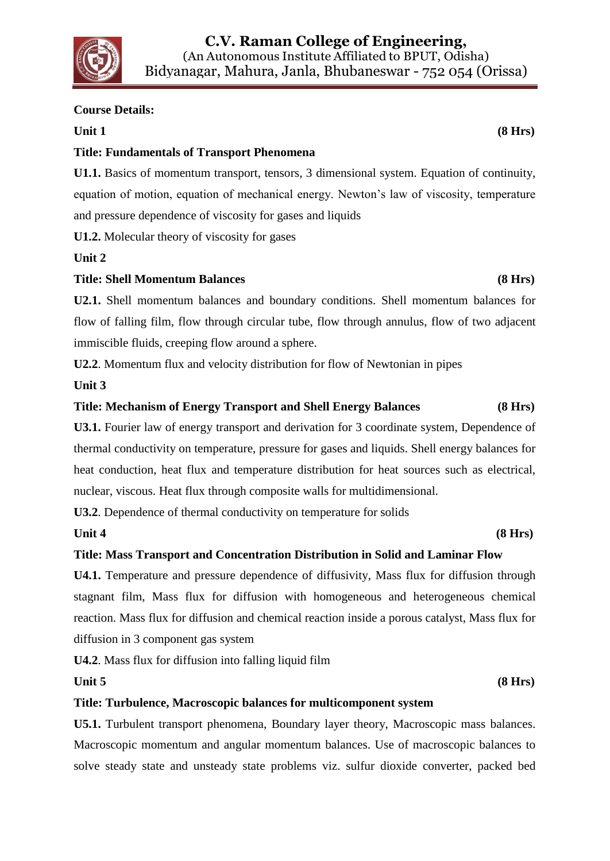

#### **Course Details:**

#### Unit 1 (8 Hrs)

#### **Title: Fundamentals of Transport Phenomena**

**U1.1.** Basics of momentum transport, tensors, 3 dimensional system. Equation of continuity, equation of motion, equation of mechanical energy. Newton's law of viscosity, temperature and pressure dependence of viscosity for gases and liquids

**U1.2.** Molecular theory of viscosity for gases

#### **Unit 2**

#### **Title: Shell Momentum Balances (8 Hrs)**

**U2.1.** Shell momentum balances and boundary conditions. Shell momentum balances for flow of falling film, flow through circular tube, flow through annulus, flow of two adjacent immiscible fluids, creeping flow around a sphere.

**U2.2**. Momentum flux and velocity distribution for flow of Newtonian in pipes

**Unit 3** 

#### **Title: Mechanism of Energy Transport and Shell Energy Balances (8 Hrs)**

**U3.1.** Fourier law of energy transport and derivation for 3 coordinate system, Dependence of thermal conductivity on temperature, pressure for gases and liquids. Shell energy balances for heat conduction, heat flux and temperature distribution for heat sources such as electrical, nuclear, viscous. Heat flux through composite walls for multidimensional.

**U3.2**. Dependence of thermal conductivity on temperature for solids

#### Unit 4 (8 Hrs)

#### **Title: Mass Transport and Concentration Distribution in Solid and Laminar Flow**

**U4.1.** Temperature and pressure dependence of diffusivity, Mass flux for diffusion through stagnant film, Mass flux for diffusion with homogeneous and heterogeneous chemical reaction. Mass flux for diffusion and chemical reaction inside a porous catalyst, Mass flux for diffusion in 3 component gas system

**U4.2**. Mass flux for diffusion into falling liquid film

#### Unit 5 (8 Hrs)

## **Title: Turbulence, Macroscopic balances for multicomponent system**

**U5.1.** Turbulent transport phenomena, Boundary layer theory, Macroscopic mass balances. Macroscopic momentum and angular momentum balances. Use of macroscopic balances to solve steady state and unsteady state problems viz. sulfur dioxide converter, packed bed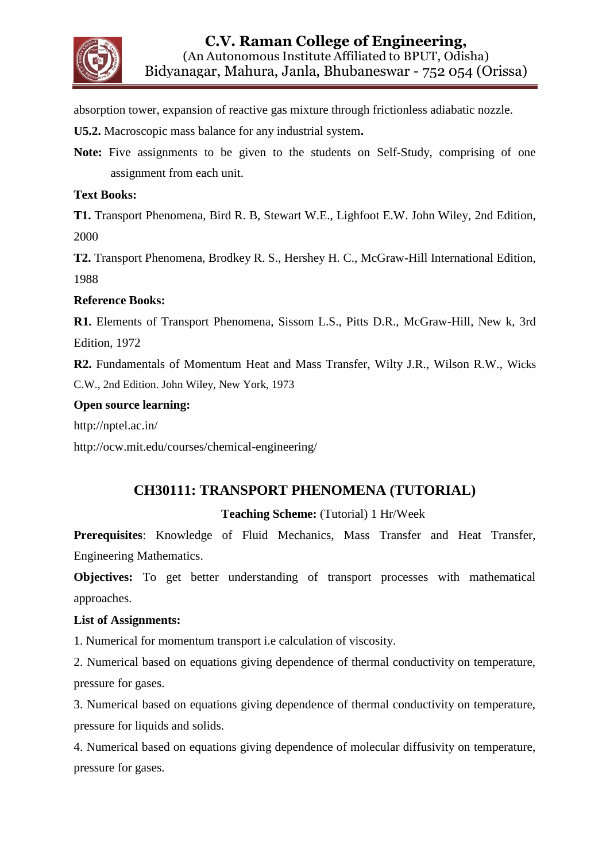

absorption tower, expansion of reactive gas mixture through frictionless adiabatic nozzle.

- **U5.2.** Macroscopic mass balance for any industrial system**.**
- **Note:** Five assignments to be given to the students on Self-Study, comprising of one assignment from each unit.

#### **Text Books:**

**T1.** Transport Phenomena, Bird R. B, Stewart W.E., Lighfoot E.W. John Wiley, 2nd Edition, 2000

**T2.** Transport Phenomena, Brodkey R. S., Hershey H. C., McGraw-Hill International Edition, 1988

#### **Reference Books:**

**R1.** Elements of Transport Phenomena, Sissom L.S., Pitts D.R., McGraw-Hill, New k, 3rd Edition, 1972

**R2.** Fundamentals of Momentum Heat and Mass Transfer, Wilty J.R., Wilson R.W., Wicks C.W., 2nd Edition. John Wiley, New York, 1973

#### **Open source learning:**

http://nptel.ac.in/

<http://ocw.mit.edu/courses/chemical-engineering/>

# **CH30111: TRANSPORT PHENOMENA (TUTORIAL)**

## **Teaching Scheme:** (Tutorial) 1 Hr/Week

**Prerequisites**: Knowledge of Fluid Mechanics, Mass Transfer and Heat Transfer, Engineering Mathematics.

**Objectives:** To get better understanding of transport processes with mathematical approaches.

## **List of Assignments:**

1. Numerical for momentum transport i.e calculation of viscosity.

2. Numerical based on equations giving dependence of thermal conductivity on temperature, pressure for gases.

3. Numerical based on equations giving dependence of thermal conductivity on temperature, pressure for liquids and solids.

4. Numerical based on equations giving dependence of molecular diffusivity on temperature, pressure for gases.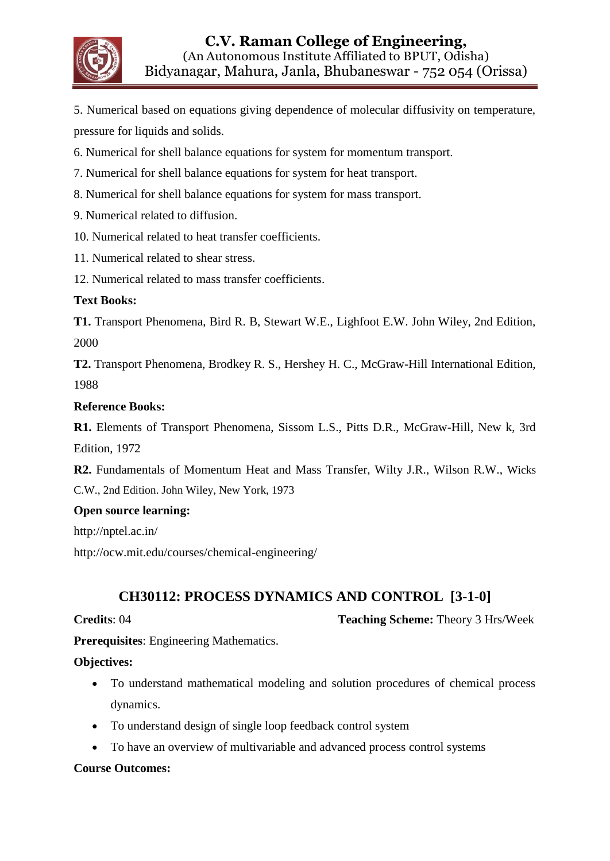

5. Numerical based on equations giving dependence of molecular diffusivity on temperature, pressure for liquids and solids.

6. Numerical for shell balance equations for system for momentum transport.

- 7. Numerical for shell balance equations for system for heat transport.
- 8. Numerical for shell balance equations for system for mass transport.
- 9. Numerical related to diffusion.
- 10. Numerical related to heat transfer coefficients.
- 11. Numerical related to shear stress.
- 12. Numerical related to mass transfer coefficients.

#### **Text Books:**

**T1.** Transport Phenomena, Bird R. B, Stewart W.E., Lighfoot E.W. John Wiley, 2nd Edition, 2000

**T2.** Transport Phenomena, Brodkey R. S., Hershey H. C., McGraw-Hill International Edition, 1988

#### **Reference Books:**

**R1.** Elements of Transport Phenomena, Sissom L.S., Pitts D.R., McGraw-Hill, New k, 3rd Edition, 1972

**R2.** Fundamentals of Momentum Heat and Mass Transfer, Wilty J.R., Wilson R.W., Wicks C.W., 2nd Edition. John Wiley, New York, 1973

#### **Open source learning:**

http://nptel.ac.in/

<http://ocw.mit.edu/courses/chemical-engineering/>

# **CH30112: PROCESS DYNAMICS AND CONTROL [3-1-0]**

**Credits**: 04 **Teaching Scheme:** Theory 3 Hrs/Week

**Prerequisites**: Engineering Mathematics.

#### **Objectives:**

- To understand mathematical modeling and solution procedures of chemical process dynamics.
- To understand design of single loop feedback control system
- To have an overview of multivariable and advanced process control systems

## **Course Outcomes:**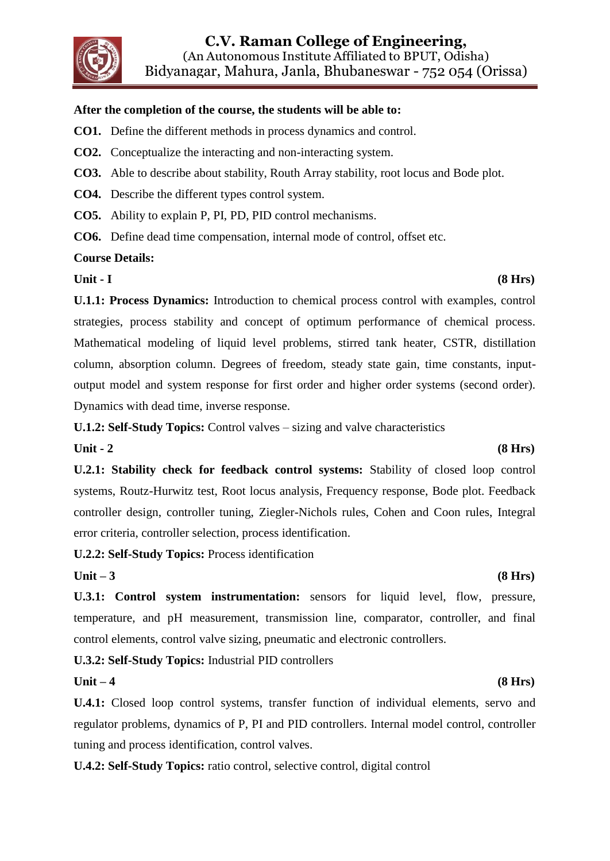

#### **After the completion of the course, the students will be able to:**

- **CO1.** Define the different methods in process dynamics and control.
- **CO2.** Conceptualize the interacting and non-interacting system.
- **CO3.** Able to describe about stability, Routh Array stability, root locus and Bode plot.
- **CO4.** Describe the different types control system.

**CO5.** Ability to explain P, PI, PD, PID control mechanisms.

**CO6.** Define dead time compensation, internal mode of control, offset etc.

#### **Course Details:**

#### **Unit - I (8 Hrs)**

**U.1.1: Process Dynamics:** Introduction to chemical process control with examples, control strategies, process stability and concept of optimum performance of chemical process. Mathematical modeling of liquid level problems, stirred tank heater, CSTR, distillation column, absorption column. Degrees of freedom, steady state gain, time constants, inputoutput model and system response for first order and higher order systems (second order). Dynamics with dead time, inverse response.

**U.1.2: Self-Study Topics:** Control valves – sizing and valve characteristics

**Unit - 2 (8 Hrs)**

**U.2.1: Stability check for feedback control systems:** Stability of closed loop control systems, Routz-Hurwitz test, Root locus analysis, Frequency response, Bode plot. Feedback controller design, controller tuning, Ziegler-Nichols rules, Cohen and Coon rules, Integral error criteria, controller selection, process identification.

**U.2.2: Self-Study Topics:** Process identification

**Unit – 3 (8 Hrs)**

**U.3.1: Control system instrumentation:** sensors for liquid level, flow, pressure, temperature, and pH measurement, transmission line, comparator, controller, and final control elements, control valve sizing, pneumatic and electronic controllers.

**U.3.2: Self-Study Topics:** Industrial PID controllers

## **Unit – 4 (8 Hrs)**

**U.4.1:** Closed loop control systems, transfer function of individual elements, servo and regulator problems, dynamics of P, PI and PID controllers. Internal model control, controller tuning and process identification, control valves.

**U.4.2: Self-Study Topics:** ratio control, selective control, digital control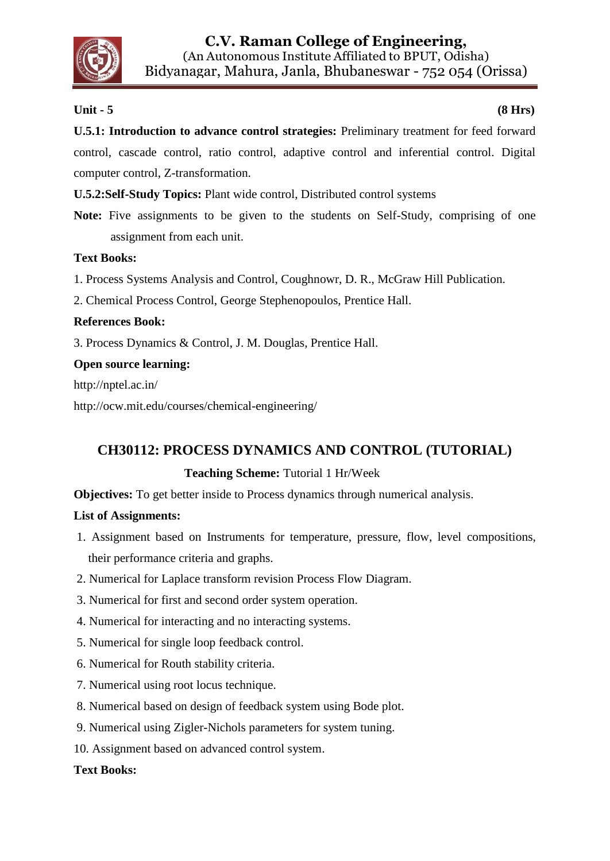

## **Unit - 5 (8 Hrs)**

**U.5.1: Introduction to advance control strategies:** Preliminary treatment for feed forward control, cascade control, ratio control, adaptive control and inferential control. Digital computer control, Z-transformation.

**U.5.2:Self-Study Topics:** Plant wide control, Distributed control systems

**Note:** Five assignments to be given to the students on Self-Study, comprising of one assignment from each unit.

#### **Text Books:**

1. Process Systems Analysis and Control, Coughnowr, D. R., McGraw Hill Publication.

2. Chemical Process Control, George Stephenopoulos, Prentice Hall.

#### **References Book:**

3. Process Dynamics & Control, J. M. Douglas, Prentice Hall.

#### **Open source learning:**

http://nptel.ac.in/

<http://ocw.mit.edu/courses/chemical-engineering/>

# **CH30112: PROCESS DYNAMICS AND CONTROL (TUTORIAL)**

## **Teaching Scheme:** Tutorial 1 Hr/Week

**Objectives:** To get better inside to Process dynamics through numerical analysis.

#### **List of Assignments:**

- 1. Assignment based on Instruments for temperature, pressure, flow, level compositions, their performance criteria and graphs.
- 2. Numerical for Laplace transform revision Process Flow Diagram.
- 3. Numerical for first and second order system operation.
- 4. Numerical for interacting and no interacting systems.
- 5. Numerical for single loop feedback control.
- 6. Numerical for Routh stability criteria.
- 7. Numerical using root locus technique.
- 8. Numerical based on design of feedback system using Bode plot.
- 9. Numerical using Zigler-Nichols parameters for system tuning.
- 10. Assignment based on advanced control system.

#### **Text Books:**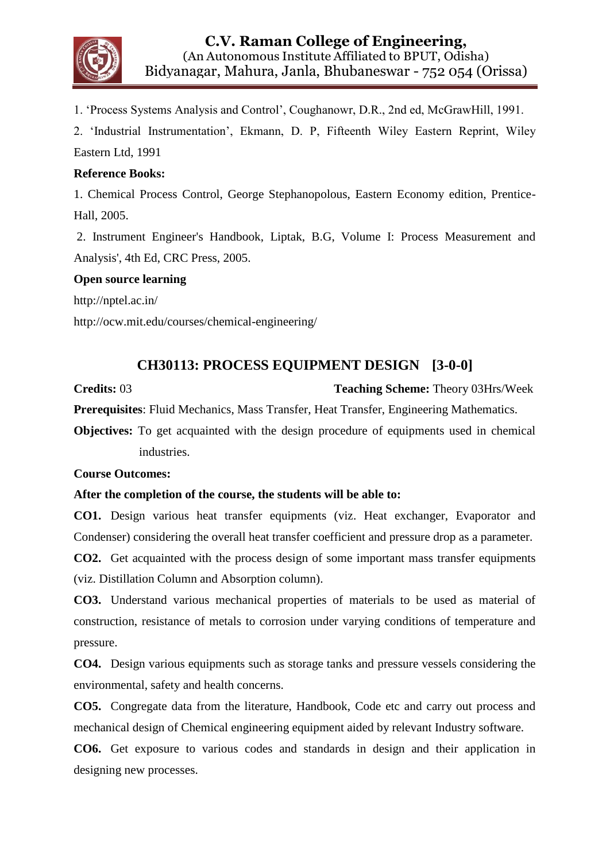

1. "Process Systems Analysis and Control", Coughanowr, D.R., 2nd ed, McGrawHill, 1991.

2. "Industrial Instrumentation", Ekmann, D. P, Fifteenth Wiley Eastern Reprint, Wiley Eastern Ltd, 1991

#### **Reference Books:**

1. Chemical Process Control, George Stephanopolous, Eastern Economy edition, Prentice-Hall, 2005.

2. Instrument Engineer's Handbook, Liptak, B.G, Volume I: Process Measurement and Analysis', 4th Ed, CRC Press, 2005.

#### **Open source learning**

http://nptel.ac.in/

<http://ocw.mit.edu/courses/chemical-engineering/>

# **CH30113: PROCESS EQUIPMENT DESIGN [3-0-0]**

**Credits:** 03 **Teaching Scheme:** Theory 03Hrs/Week

**Prerequisites**: Fluid Mechanics, Mass Transfer, Heat Transfer, Engineering Mathematics.

**Objectives:** To get acquainted with the design procedure of equipments used in chemical industries.

#### **Course Outcomes:**

## **After the completion of the course, the students will be able to:**

**CO1.** Design various heat transfer equipments (viz. Heat exchanger, Evaporator and Condenser) considering the overall heat transfer coefficient and pressure drop as a parameter.

**CO2.** Get acquainted with the process design of some important mass transfer equipments (viz. Distillation Column and Absorption column).

**CO3.** Understand various mechanical properties of materials to be used as material of construction, resistance of metals to corrosion under varying conditions of temperature and pressure.

**CO4.** Design various equipments such as storage tanks and pressure vessels considering the environmental, safety and health concerns.

**CO5.** Congregate data from the literature, Handbook, Code etc and carry out process and mechanical design of Chemical engineering equipment aided by relevant Industry software.

**CO6.** Get exposure to various codes and standards in design and their application in designing new processes.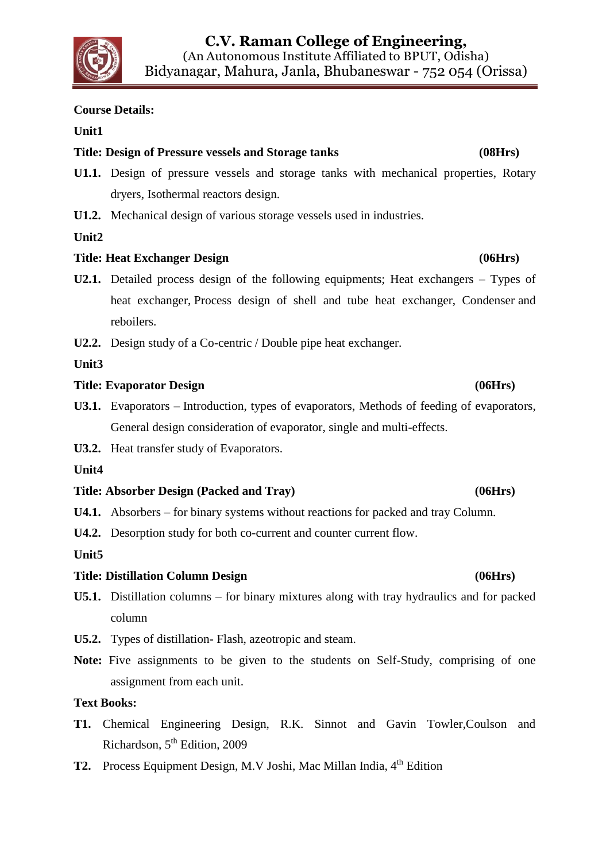#### **Course Details:**

#### **Unit1**

#### **Title: Design of Pressure vessels and Storage tanks (08Hrs)**

- **U1.1.** Design of pressure vessels and storage tanks with mechanical properties, Rotary dryers, Isothermal reactors design.
- **U1.2.** Mechanical design of various storage vessels used in industries.

#### **Unit2**

## **Title: Heat Exchanger Design (06Hrs)**

- **U2.1.** Detailed process design of the following equipments; Heat exchangers Types of heat exchanger, Process design of shell and tube heat exchanger, Condenser and reboilers.
- **U2.2.** Design study of a Co-centric / Double pipe heat exchanger.

#### **Unit3**

#### **Title: Evaporator Design (06Hrs)**

- **U3.1.** Evaporators Introduction, types of evaporators, Methods of feeding of evaporators, General design consideration of evaporator, single and multi-effects.
- **U3.2.** Heat transfer study of Evaporators.

#### **Unit4**

#### **Title: Absorber Design (Packed and Tray) (06Hrs)**

- **U4.1.** Absorbers for binary systems without reactions for packed and tray Column.
- **U4.2.** Desorption study for both co-current and counter current flow.

#### **Unit5**

## **Title: Distillation Column Design (06Hrs)**

- **U5.1.** Distillation columns for binary mixtures along with tray hydraulics and for packed column
- **U5.2.** Types of distillation- Flash, azeotropic and steam.
- **Note:** Five assignments to be given to the students on Self-Study, comprising of one assignment from each unit.

#### **Text Books:**

- **T1.** Chemical Engineering Design, R.K. Sinnot and Gavin Towler,Coulson and Richardson, 5<sup>th</sup> Edition, 2009
- **T2.** Process Equipment Design, M.V Joshi, Mac Millan India, 4<sup>th</sup> Edition

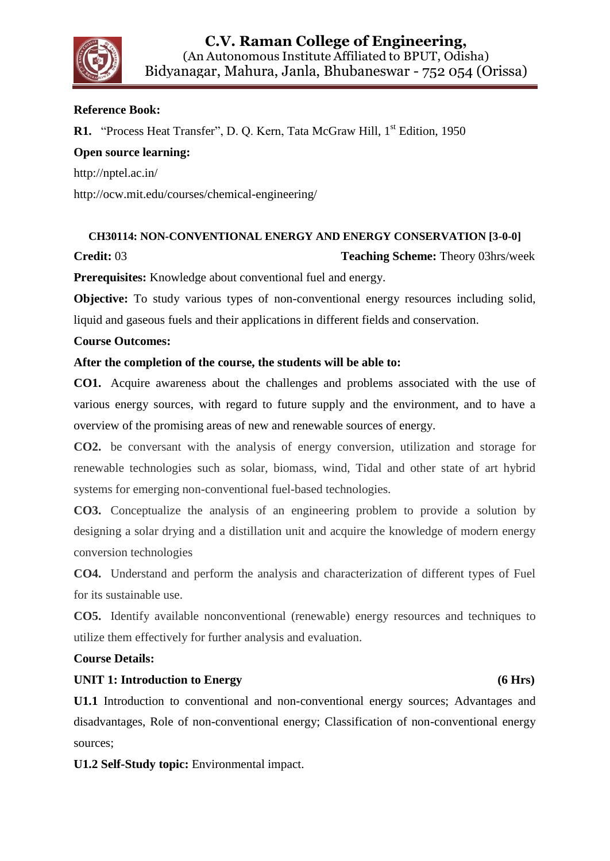

#### **Reference Book:**

**R1.** "Process Heat Transfer", D. O. Kern, Tata McGraw Hill, 1<sup>st</sup> Edition, 1950

**Open source learning:**

http://nptel.ac.in/

<http://ocw.mit.edu/courses/chemical-engineering/>

# **CH30114: NON-CONVENTIONAL ENERGY AND ENERGY CONSERVATION [3-0-0]**

**Credit:** 03 **Teaching Scheme:** Theory 03hrs/week

**Prerequisites:** Knowledge about conventional fuel and energy.

**Objective:** To study various types of non-conventional energy resources including solid, liquid and gaseous fuels and their applications in different fields and conservation.

#### **Course Outcomes:**

## **After the completion of the course, the students will be able to:**

**CO1.** Acquire awareness about the challenges and problems associated with the use of various energy sources, with regard to future supply and the environment, and to have a overview of the promising areas of new and renewable sources of energy.

**CO2.** be conversant with the analysis of energy conversion, utilization and storage for renewable technologies such as solar, biomass, wind, Tidal and other state of art hybrid systems for emerging non-conventional fuel-based technologies.

**CO3.** Conceptualize the analysis of an engineering problem to provide a solution by designing a solar drying and a distillation unit and acquire the knowledge of modern energy conversion technologies

**CO4.** Understand and perform the analysis and characterization of different types of Fuel for its sustainable use.

**CO5.** Identify available nonconventional (renewable) energy resources and techniques to utilize them effectively for further analysis and evaluation.

#### **Course Details:**

## UNIT 1: Introduction to Energy (6 Hrs)

**U1.1** Introduction to conventional and non-conventional energy sources; Advantages and disadvantages, Role of non-conventional energy; Classification of non-conventional energy sources;

**U1.2 Self-Study topic:** Environmental impact.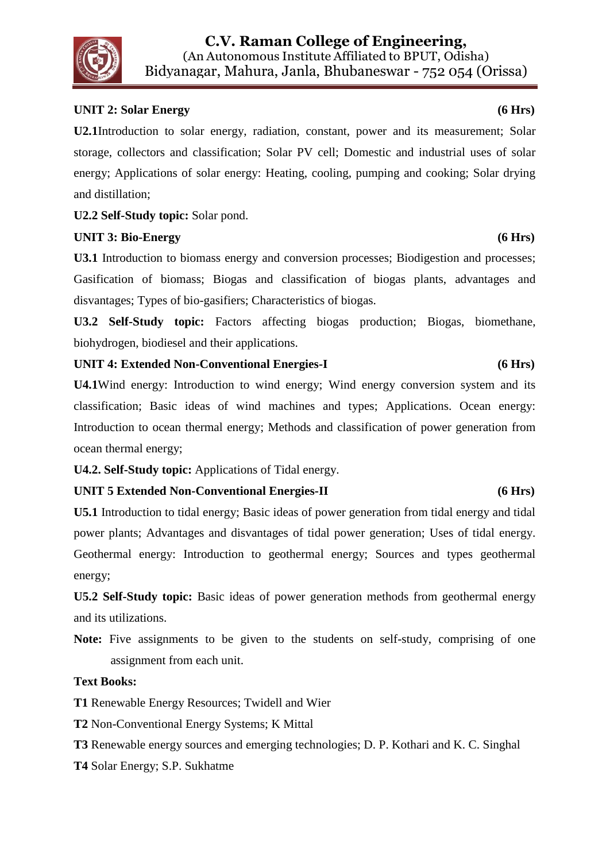## **UNIT 2: Solar Energy (6 Hrs)**

**U2.1**Introduction to solar energy, radiation, constant, power and its measurement; Solar storage, collectors and classification; Solar PV cell; Domestic and industrial uses of solar energy; Applications of solar energy: Heating, cooling, pumping and cooking; Solar drying and distillation;

**U2.2 Self-Study topic:** Solar pond.

# **UNIT 3: Bio-Energy (6 Hrs)**

**U3.1** Introduction to biomass energy and conversion processes; Biodigestion and processes; Gasification of biomass; Biogas and classification of biogas plants, advantages and disvantages; Types of bio-gasifiers; Characteristics of biogas.

**U3.2 Self-Study topic:** Factors affecting biogas production; Biogas, biomethane, biohydrogen, biodiesel and their applications.

#### **UNIT 4: Extended Non-Conventional Energies-I (6 Hrs)**

**U4.1**Wind energy: Introduction to wind energy; Wind energy conversion system and its classification; Basic ideas of wind machines and types; Applications. Ocean energy: Introduction to ocean thermal energy; Methods and classification of power generation from ocean thermal energy;

**U4.2. Self-Study topic:** Applications of Tidal energy.

## **UNIT 5 Extended Non-Conventional Energies-II (6 Hrs)**

**U5.1** Introduction to tidal energy; Basic ideas of power generation from tidal energy and tidal power plants; Advantages and disvantages of tidal power generation; Uses of tidal energy. Geothermal energy: Introduction to geothermal energy; Sources and types geothermal energy;

**U5.2 Self-Study topic:** Basic ideas of power generation methods from geothermal energy and its utilizations.

**Note:** Five assignments to be given to the students on self-study, comprising of one assignment from each unit.

## **Text Books:**

**T1** Renewable Energy Resources; Twidell and Wier

**T2** Non-Conventional Energy Systems; K Mittal

**T3** Renewable energy sources and emerging technologies; D. P. Kothari and K. C. Singhal

**T4** Solar Energy; S.P. Sukhatme

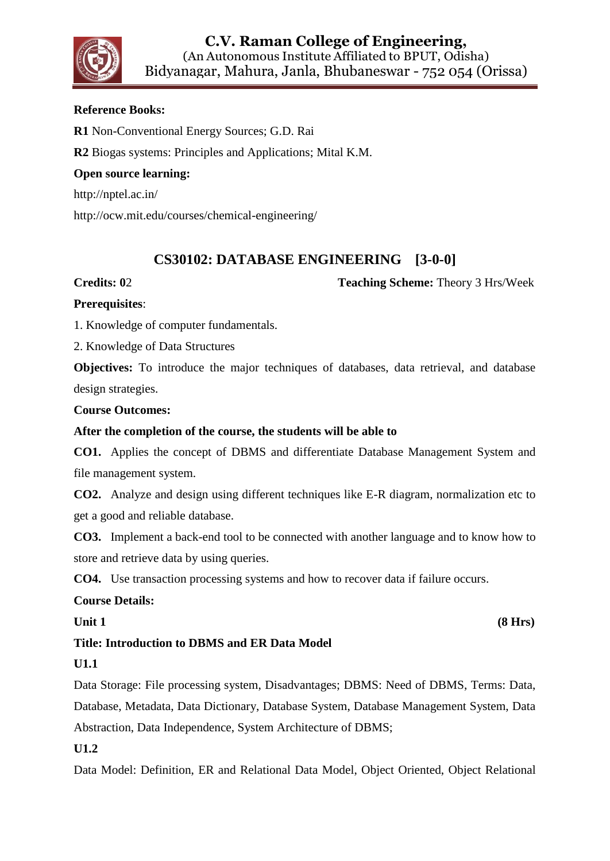

#### **Reference Books:**

**R1** Non-Conventional Energy Sources; G.D. Rai

**R2** Biogas systems: Principles and Applications; Mital K.M.

#### **Open source learning:**

http://nptel.ac.in/

<http://ocw.mit.edu/courses/chemical-engineering/>

# **CS30102: DATABASE ENGINEERING [3-0-0]**

**Credits: 0**2 **Teaching Scheme:** Theory 3 Hrs/Week

#### **Prerequisites**:

1. Knowledge of computer fundamentals.

2. Knowledge of Data Structures

**Objectives:** To introduce the major techniques of databases, data retrieval, and database design strategies.

#### **Course Outcomes:**

#### **After the completion of the course, the students will be able to**

**CO1.** Applies the concept of DBMS and differentiate Database Management System and file management system.

**CO2.** Analyze and design using different techniques like E-R diagram, normalization etc to get a good and reliable database.

**CO3.** Implement a back-end tool to be connected with another language and to know how to store and retrieve data by using queries.

**CO4.** Use transaction processing systems and how to recover data if failure occurs.

#### **Course Details:**

## **Title: Introduction to DBMS and ER Data Model**

## **U1.1**

Data Storage: File processing system, Disadvantages; DBMS: Need of DBMS, Terms: Data, Database, Metadata, Data Dictionary, Database System, Database Management System, Data Abstraction, Data Independence, System Architecture of DBMS;

#### **U1.2**

Data Model: Definition, ER and Relational Data Model, Object Oriented, Object Relational

Unit 1 (8 Hrs)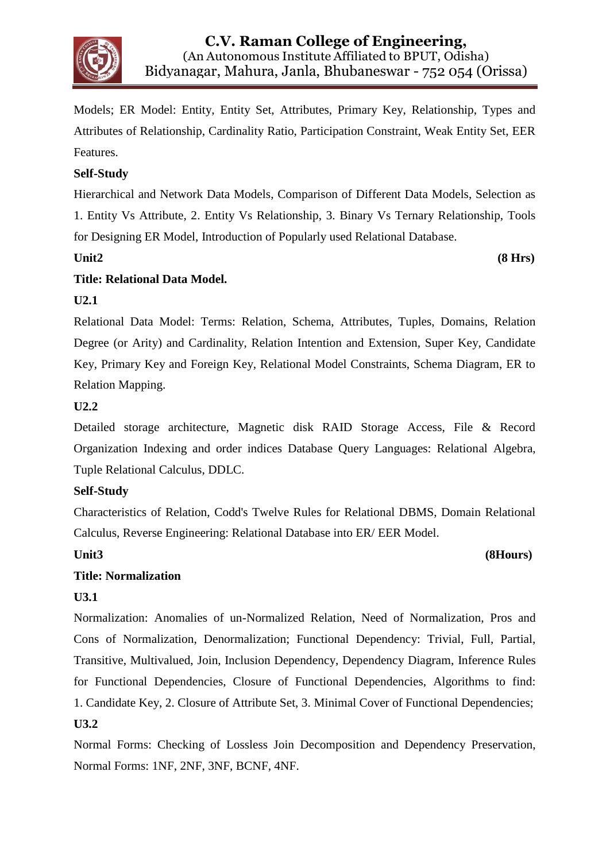

Models; ER Model: Entity, Entity Set, Attributes, Primary Key, Relationship, Types and Attributes of Relationship, Cardinality Ratio, Participation Constraint, Weak Entity Set, EER Features.

#### **Self-Study**

Hierarchical and Network Data Models, Comparison of Different Data Models, Selection as 1. Entity Vs Attribute, 2. Entity Vs Relationship, 3. Binary Vs Ternary Relationship, Tools for Designing ER Model, Introduction of Popularly used Relational Database.

**Unit2 (8 Hrs)**

#### **Title: Relational Data Model.**

#### **U2.1**

Relational Data Model: Terms: Relation, Schema, Attributes, Tuples, Domains, Relation Degree (or Arity) and Cardinality, Relation Intention and Extension, Super Key, Candidate Key, Primary Key and Foreign Key, Relational Model Constraints, Schema Diagram, ER to Relation Mapping.

#### **U2.2**

Detailed storage architecture, Magnetic disk RAID Storage Access, File & Record Organization Indexing and order indices Database Query Languages: Relational Algebra, Tuple Relational Calculus, DDLC.

## **Self-Study**

Characteristics of Relation, Codd's Twelve Rules for Relational DBMS, Domain Relational Calculus, Reverse Engineering: Relational Database into ER/ EER Model.

#### Unit3 (8Hours)

## **Title: Normalization**

## **U3.1**

Normalization: Anomalies of un-Normalized Relation, Need of Normalization, Pros and Cons of Normalization, Denormalization; Functional Dependency: Trivial, Full, Partial, Transitive, Multivalued, Join, Inclusion Dependency, Dependency Diagram, Inference Rules for Functional Dependencies, Closure of Functional Dependencies, Algorithms to find: 1. Candidate Key, 2. Closure of Attribute Set, 3. Minimal Cover of Functional Dependencies; **U3.2**

Normal Forms: Checking of Lossless Join Decomposition and Dependency Preservation, Normal Forms: 1NF, 2NF, 3NF, BCNF, 4NF.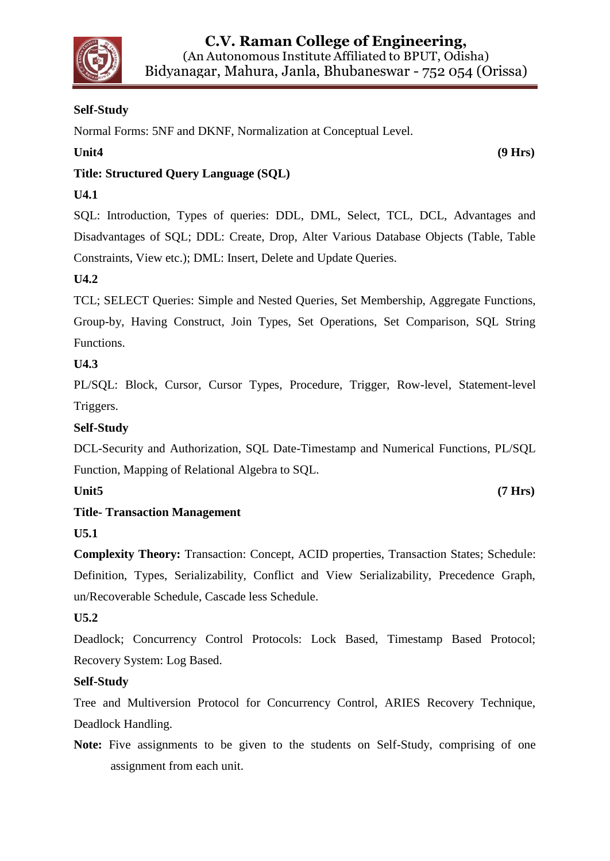

# **Self-Study**

Normal Forms: 5NF and DKNF, Normalization at Conceptual Level.

**Unit4 (9 Hrs)**

# **Title: Structured Query Language (SQL)**

# **U4.1**

SQL: Introduction, Types of queries: DDL, DML, Select, TCL, DCL, Advantages and Disadvantages of SQL; DDL: Create, Drop, Alter Various Database Objects (Table, Table Constraints, View etc.); DML: Insert, Delete and Update Queries.

# **U4.2**

TCL; SELECT Queries: Simple and Nested Queries, Set Membership, Aggregate Functions, Group-by, Having Construct, Join Types, Set Operations, Set Comparison, SQL String Functions.

# **U4.3**

PL/SQL: Block, Cursor, Cursor Types, Procedure, Trigger, Row-level, Statement-level Triggers.

## **Self-Study**

DCL-Security and Authorization, SQL Date-Timestamp and Numerical Functions, PL/SQL Function, Mapping of Relational Algebra to SQL.

Unit5 (7 Hrs)

## **Title- Transaction Management**

**U5.1**

**Complexity Theory:** Transaction: Concept, ACID properties, Transaction States; Schedule: Definition, Types, Serializability, Conflict and View Serializability, Precedence Graph, un/Recoverable Schedule, Cascade less Schedule.

**U5.2** 

Deadlock; Concurrency Control Protocols: Lock Based, Timestamp Based Protocol; Recovery System: Log Based.

## **Self-Study**

Tree and Multiversion Protocol for Concurrency Control, ARIES Recovery Technique, Deadlock Handling.

**Note:** Five assignments to be given to the students on Self-Study, comprising of one assignment from each unit.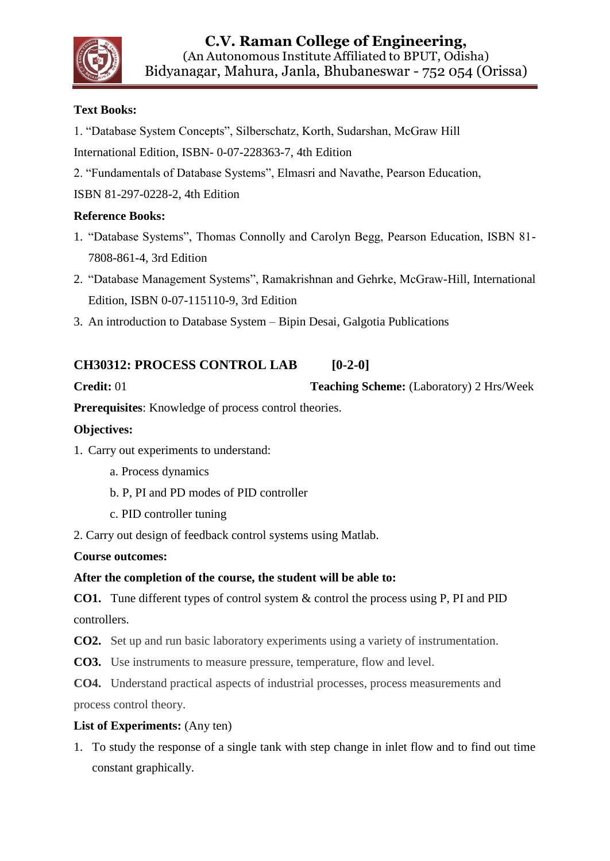

# **Text Books:**

1. "Database System Concepts", Silberschatz, Korth, Sudarshan, McGraw Hill

International Edition, ISBN- 0-07-228363-7, 4th Edition

2. "Fundamentals of Database Systems", Elmasri and Navathe, Pearson Education,

ISBN 81-297-0228-2, 4th Edition

# **Reference Books:**

- 1. "Database Systems", Thomas Connolly and Carolyn Begg, Pearson Education, ISBN 81- 7808-861-4, 3rd Edition
- 2. "Database Management Systems", Ramakrishnan and Gehrke, McGraw-Hill, International Edition, ISBN 0-07-115110-9, 3rd Edition
- 3. An introduction to Database System Bipin Desai, Galgotia Publications

# **CH30312: PROCESS CONTROL LAB [0-2-0]**

**Credit:** 01 **Teaching Scheme:** (Laboratory) 2 Hrs/Week

**Prerequisites**: Knowledge of process control theories.

## **Objectives:**

- 1. Carry out experiments to understand:
	- a. Process dynamics
	- b. P, PI and PD modes of PID controller
	- c. PID controller tuning
- 2. Carry out design of feedback control systems using Matlab.

## **Course outcomes:**

# **After the completion of the course, the student will be able to:**

**CO1.** Tune different types of control system & control the process using P, PI and PID controllers.

**CO2.** Set up and run basic laboratory experiments using a variety of instrumentation.

**CO3.** Use instruments to measure pressure, temperature, flow and level.

**CO4.** Understand practical aspects of industrial processes, process measurements and process control theory.

# **List of Experiments:** (Any ten)

1. To study the response of a single tank with step change in inlet flow and to find out time constant graphically.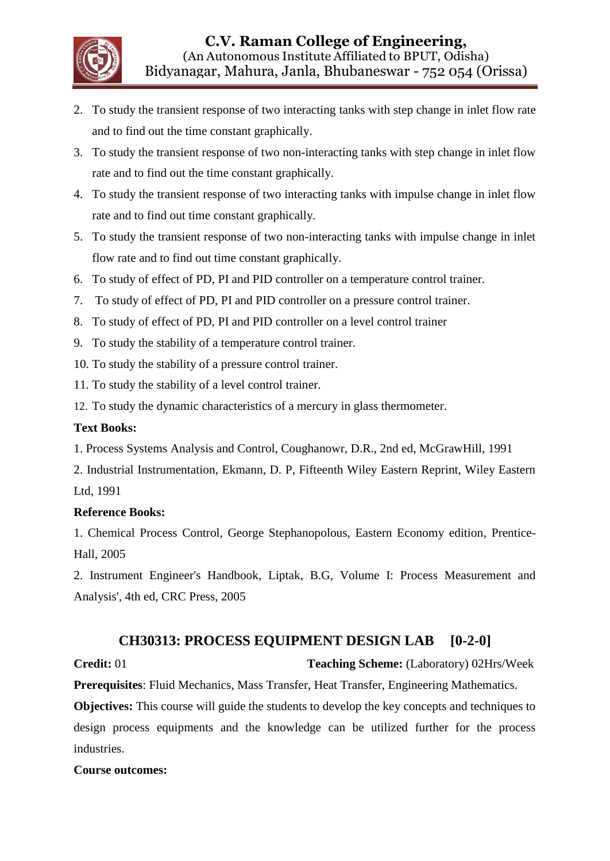

- 2. To study the transient response of two interacting tanks with step change in inlet flow rate and to find out the time constant graphically.
- 3. To study the transient response of two non-interacting tanks with step change in inlet flow rate and to find out the time constant graphically.
- 4. To study the transient response of two interacting tanks with impulse change in inlet flow rate and to find out time constant graphically.
- 5. To study the transient response of two non-interacting tanks with impulse change in inlet flow rate and to find out time constant graphically.
- 6. To study of effect of PD, PI and PID controller on a temperature control trainer.
- 7. To study of effect of PD, PI and PID controller on a pressure control trainer.
- 8. To study of effect of PD, PI and PID controller on a level control trainer
- 9. To study the stability of a temperature control trainer.
- 10. To study the stability of a pressure control trainer.
- 11. To study the stability of a level control trainer.
- 12. To study the dynamic characteristics of a mercury in glass thermometer.

#### **Text Books:**

- 1. Process Systems Analysis and Control, Coughanowr, D.R., 2nd ed, McGrawHill, 1991
- 2. Industrial Instrumentation, Ekmann, D. P, Fifteenth Wiley Eastern Reprint, Wiley Eastern Ltd, 1991

#### **Reference Books:**

1. Chemical Process Control, George Stephanopolous, Eastern Economy edition, Prentice-Hall, 2005

2. Instrument Engineer's Handbook, Liptak, B.G, Volume I: Process Measurement and Analysis', 4th ed, CRC Press, 2005

# **CH30313: PROCESS EQUIPMENT DESIGN LAB [0-2-0]**

**Credit:** 01 **Teaching Scheme:** (Laboratory) 02Hrs/Week

**Prerequisites**: Fluid Mechanics, Mass Transfer, Heat Transfer, Engineering Mathematics. **Objectives:** This course will guide the students to develop the key concepts and techniques to

design process equipments and the knowledge can be utilized further for the process industries.

#### **Course outcomes:**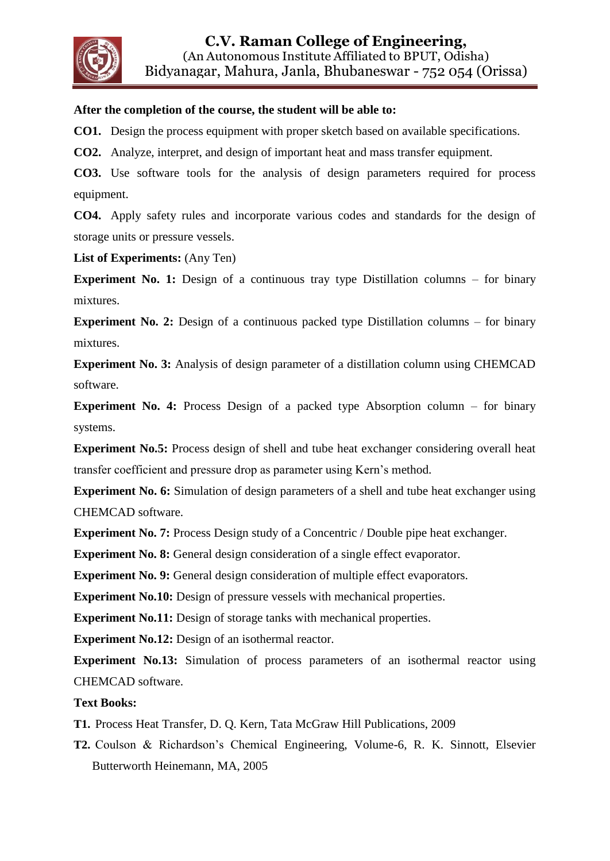

#### **After the completion of the course, the student will be able to:**

**CO1.** Design the process equipment with proper sketch based on available specifications.

**CO2.** Analyze, interpret, and design of important heat and mass transfer equipment.

**CO3.** Use software tools for the analysis of design parameters required for process equipment.

**CO4.** Apply safety rules and incorporate various codes and standards for the design of storage units or pressure vessels.

List of Experiments: (Any Ten)

**Experiment No. 1:** Design of a continuous tray type Distillation columns – for binary mixtures.

**Experiment No. 2:** Design of a continuous packed type Distillation columns – for binary mixtures.

**Experiment No. 3:** Analysis of design parameter of a distillation column using CHEMCAD software.

**Experiment No. 4:** Process Design of a packed type Absorption column – for binary systems.

**Experiment No.5:** Process design of shell and tube heat exchanger considering overall heat transfer coefficient and pressure drop as parameter using Kern"s method.

**Experiment No. 6:** Simulation of design parameters of a shell and tube heat exchanger using CHEMCAD software.

**Experiment No. 7:** Process Design study of a Concentric / Double pipe heat exchanger.

**Experiment No. 8:** General design consideration of a single effect evaporator.

**Experiment No. 9:** General design consideration of multiple effect evaporators.

**Experiment No.10:** Design of pressure vessels with mechanical properties.

**Experiment No.11:** Design of storage tanks with mechanical properties.

**Experiment No.12:** Design of an isothermal reactor.

**Experiment No.13:** Simulation of process parameters of an isothermal reactor using CHEMCAD software.

#### **Text Books:**

**T1.** Process Heat Transfer, D. Q. Kern, Tata McGraw Hill Publications, 2009

**T2.** Coulson & Richardson"s Chemical Engineering, Volume-6, R. K. Sinnott, Elsevier Butterworth Heinemann, MA, 2005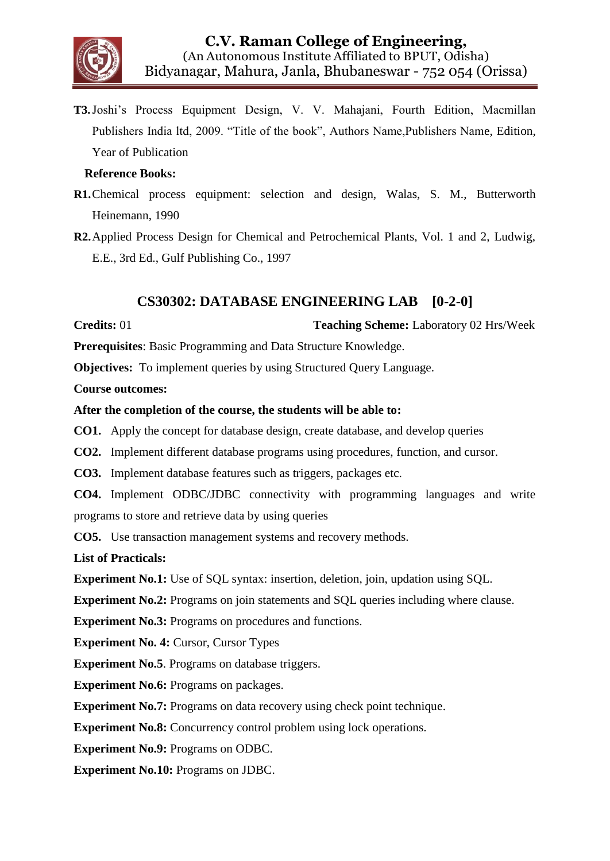

**T3.**Joshi"s Process Equipment Design, V. V. Mahajani, Fourth Edition, Macmillan Publishers India ltd, 2009. "Title of the book", Authors Name, Publishers Name, Edition, Year of Publication

#### **Reference Books:**

- **R1.**Chemical process equipment: selection and design, Walas, S. M., Butterworth Heinemann, 1990
- **R2.**Applied Process Design for Chemical and Petrochemical Plants, Vol. 1 and 2, Ludwig, E.E., 3rd Ed., Gulf Publishing Co., 1997

# **CS30302: DATABASE ENGINEERING LAB [0-2-0]**

**Credits: 01 Teaching Scheme: Laboratory 02 Hrs/Week** 

**Prerequisites**: Basic Programming and Data Structure Knowledge.

**Objectives:** To implement queries by using Structured Ouery Language.

**Course outcomes:**

#### **After the completion of the course, the students will be able to:**

**CO1.** Apply the concept for database design, create database, and develop queries

**CO2.** Implement different database programs using procedures, function, and cursor.

**CO3.** Implement database features such as triggers, packages etc.

**CO4.** Implement ODBC/JDBC connectivity with programming languages and write programs to store and retrieve data by using queries

**CO5.** Use transaction management systems and recovery methods.

**List of Practicals:**

**Experiment No.1:** Use of SQL syntax: insertion, deletion, join, updation using SQL.

**Experiment No.2:** Programs on join statements and SQL queries including where clause.

**Experiment No.3:** Programs on procedures and functions.

**Experiment No. 4:** Cursor, Cursor Types

**Experiment No.5**. Programs on database triggers.

**Experiment No.6:** Programs on packages.

**Experiment No.7:** Programs on data recovery using check point technique.

**Experiment No.8:** Concurrency control problem using lock operations.

**Experiment No.9:** Programs on ODBC.

**Experiment No.10:** Programs on JDBC.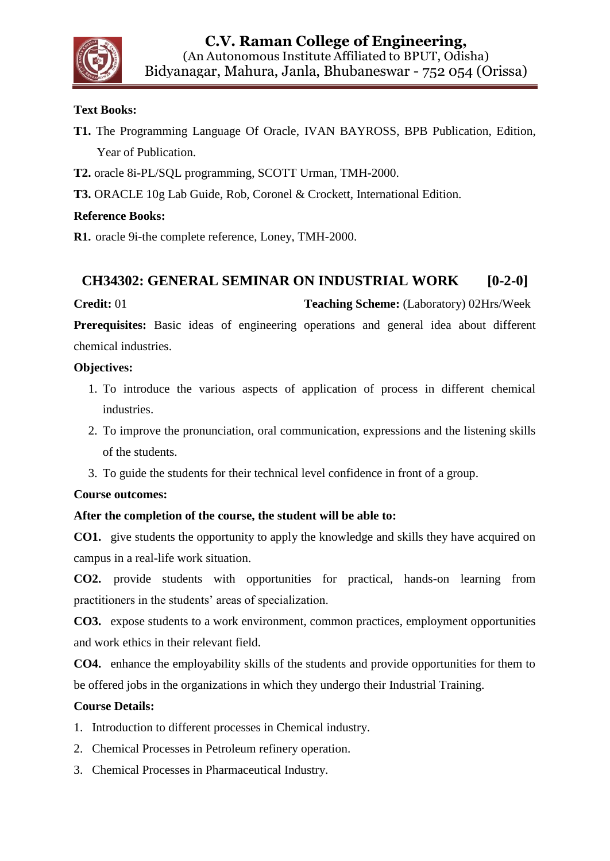

#### **Text Books:**

- **T1.** The Programming Language Of Oracle, IVAN BAYROSS, BPB Publication, Edition, Year of Publication.
- **T2.** oracle 8i-PL/SQL programming, SCOTT Urman, TMH-2000.
- **T3.** ORACLE 10g Lab Guide, Rob, Coronel & Crockett, International Edition.

#### **Reference Books:**

**R1.** oracle 9i-the complete reference, Loney, TMH-2000.

# **CH34302: GENERAL SEMINAR ON INDUSTRIAL WORK [0-2-0]**

#### **Credit: 01 Teaching Scheme: (Laboratory) 02Hrs/Week**

**Prerequisites:** Basic ideas of engineering operations and general idea about different chemical industries.

#### **Objectives:**

- 1. To introduce the various aspects of application of process in different chemical industries.
- 2. To improve the pronunciation, oral communication, expressions and the listening skills of the students.
- 3. To guide the students for their technical level confidence in front of a group.

#### **Course outcomes:**

#### **After the completion of the course, the student will be able to:**

**CO1.** give students the opportunity to apply the knowledge and skills they have acquired on campus in a real-life work situation.

**CO2.** provide students with opportunities for practical, hands-on learning from practitioners in the students" areas of specialization.

**CO3.** expose students to a work environment, common practices, employment opportunities and work ethics in their relevant field.

**CO4.** enhance the employability skills of the students and provide opportunities for them to be offered jobs in the organizations in which they undergo their Industrial Training.

#### **Course Details:**

- 1. Introduction to different processes in Chemical industry.
- 2. Chemical Processes in Petroleum refinery operation.
- 3. Chemical Processes in Pharmaceutical Industry.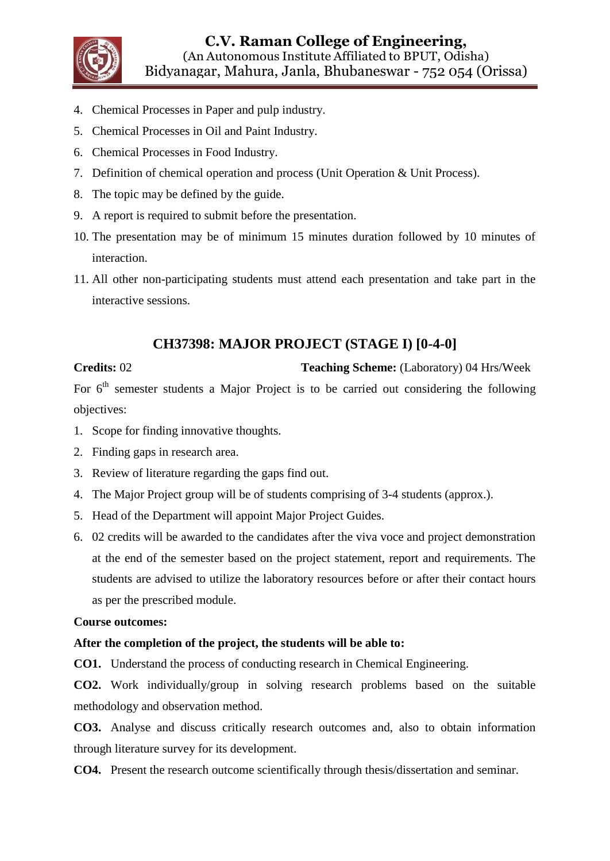

- 4. Chemical Processes in Paper and pulp industry.
- 5. Chemical Processes in Oil and Paint Industry.
- 6. Chemical Processes in Food Industry.
- 7. Definition of chemical operation and process (Unit Operation & Unit Process).
- 8. The topic may be defined by the guide.
- 9. A report is required to submit before the presentation.
- 10. The presentation may be of minimum 15 minutes duration followed by 10 minutes of interaction.
- 11. All other non-participating students must attend each presentation and take part in the interactive sessions.

# **CH37398: MAJOR PROJECT (STAGE I) [0-4-0]**

**Credits:** 02 **Teaching Scheme:** (Laboratory) 04 Hrs/Week

For 6<sup>th</sup> semester students a Major Project is to be carried out considering the following objectives:

- 1. Scope for finding innovative thoughts.
- 2. Finding gaps in research area.
- 3. Review of literature regarding the gaps find out.
- 4. The Major Project group will be of students comprising of 3-4 students (approx.).
- 5. Head of the Department will appoint Major Project Guides.
- 6. 02 credits will be awarded to the candidates after the viva voce and project demonstration at the end of the semester based on the project statement, report and requirements. The students are advised to utilize the laboratory resources before or after their contact hours as per the prescribed module.

#### **Course outcomes:**

#### **After the completion of the project, the students will be able to:**

**CO1.** Understand the process of conducting research in Chemical Engineering.

**CO2.** Work individually/group in solving research problems based on the suitable methodology and observation method.

**CO3.** Analyse and discuss critically research outcomes and, also to obtain information through literature survey for its development.

**CO4.** Present the research outcome scientifically through thesis/dissertation and seminar.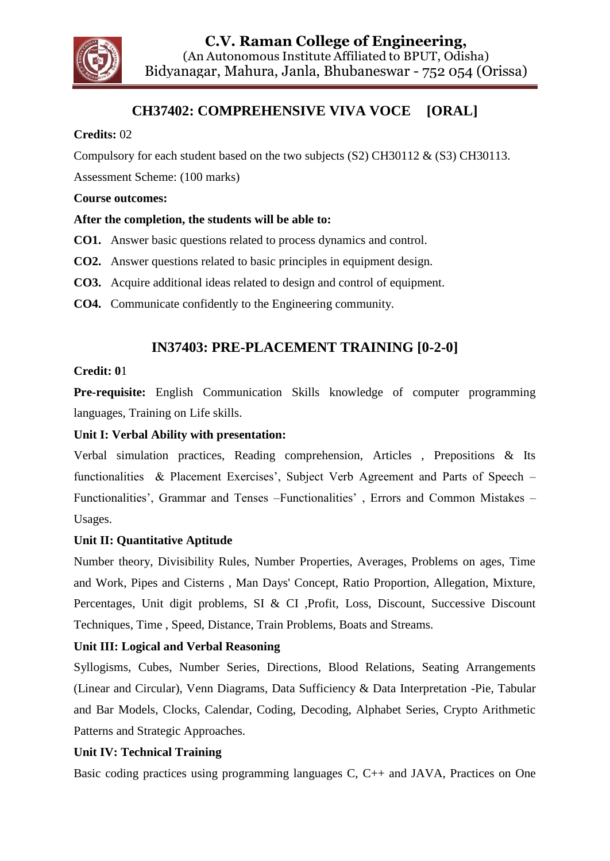

# **CH37402: COMPREHENSIVE VIVA VOCE [ORAL]**

#### **Credits:** 02

Compulsory for each student based on the two subjects  $(S2)$  CH30112 &  $(S3)$  CH30113. Assessment Scheme: (100 marks)

#### **Course outcomes:**

### **After the completion, the students will be able to:**

- **CO1.** Answer basic questions related to process dynamics and control.
- **CO2.** Answer questions related to basic principles in equipment design.
- **CO3.** Acquire additional ideas related to design and control of equipment.
- **CO4.** Communicate confidently to the Engineering community.

# **IN37403: PRE-PLACEMENT TRAINING [0-2-0]**

#### **Credit: 0**1

**Pre-requisite:** English Communication Skills knowledge of computer programming languages, Training on Life skills.

#### **Unit I: Verbal Ability with presentation:**

Verbal simulation practices, Reading comprehension, Articles , Prepositions & Its functionalities & Placement Exercises', Subject Verb Agreement and Parts of Speech – Functionalities", Grammar and Tenses –Functionalities" , Errors and Common Mistakes – Usages.

## **Unit II: Quantitative Aptitude**

Number theory, Divisibility Rules, Number Properties, Averages, Problems on ages, Time and Work, Pipes and Cisterns , Man Days' Concept, Ratio Proportion, Allegation, Mixture, Percentages, Unit digit problems, SI & CI ,Profit, Loss, Discount, Successive Discount Techniques, Time , Speed, Distance, Train Problems, Boats and Streams.

## **Unit III: Logical and Verbal Reasoning**

Syllogisms, Cubes, Number Series, Directions, Blood Relations, Seating Arrangements (Linear and Circular), Venn Diagrams, Data Sufficiency & Data Interpretation -Pie, Tabular and Bar Models, Clocks, Calendar, Coding, Decoding, Alphabet Series, Crypto Arithmetic Patterns and Strategic Approaches.

## **Unit IV: Technical Training**

Basic coding practices using programming languages C, C++ and JAVA, Practices on One